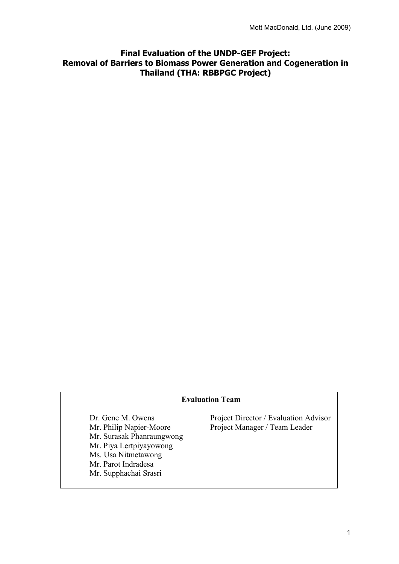# **Final Evaluation of the UNDP-GEF Project: Removal of Barriers to Biomass Power Generation and Cogeneration in Thailand (THA: RBBPGC Project)**

## **Evaluation Team**

 Mr. Surasak Phanraungwong Mr. Piya Lertpiyayowong Ms. Usa Nitmetawong Mr. Parot Indradesa Mr. Supphachai Srasri

Dr. Gene M. Owens Project Director / Evaluation Advisor Mr. Philip Napier-Moore Project Manager / Team Leader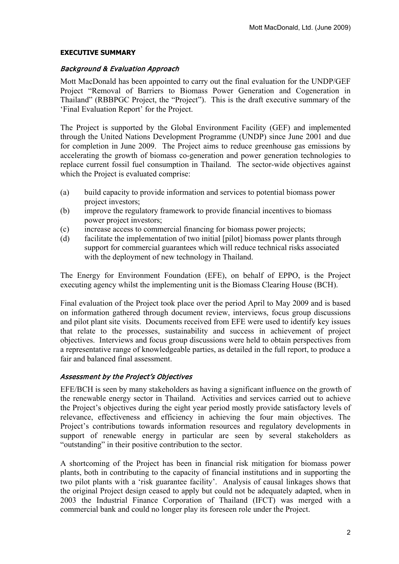#### **EXECUTIVE SUMMARY**

#### Background & Evaluation Approach

Mott MacDonald has been appointed to carry out the final evaluation for the UNDP/GEF Project "Removal of Barriers to Biomass Power Generation and Cogeneration in Thailand" (RBBPGC Project, the "Project"). This is the draft executive summary of the 'Final Evaluation Report' for the Project.

The Project is supported by the Global Environment Facility (GEF) and implemented through the United Nations Development Programme (UNDP) since June 2001 and due for completion in June 2009. The Project aims to reduce greenhouse gas emissions by accelerating the growth of biomass co-generation and power generation technologies to replace current fossil fuel consumption in Thailand. The sector-wide objectives against which the Project is evaluated comprise:

- (a) build capacity to provide information and services to potential biomass power project investors;
- (b) improve the regulatory framework to provide financial incentives to biomass power project investors;
- (c) increase access to commercial financing for biomass power projects;
- (d) facilitate the implementation of two initial [pilot] biomass power plants through support for commercial guarantees which will reduce technical risks associated with the deployment of new technology in Thailand.

The Energy for Environment Foundation (EFE), on behalf of EPPO, is the Project executing agency whilst the implementing unit is the Biomass Clearing House (BCH).

Final evaluation of the Project took place over the period April to May 2009 and is based on information gathered through document review, interviews, focus group discussions and pilot plant site visits. Documents received from EFE were used to identify key issues that relate to the processes, sustainability and success in achievement of project objectives. Interviews and focus group discussions were held to obtain perspectives from a representative range of knowledgeable parties, as detailed in the full report, to produce a fair and balanced final assessment.

## Assessment by the Project's Objectives

EFE/BCH is seen by many stakeholders as having a significant influence on the growth of the renewable energy sector in Thailand. Activities and services carried out to achieve the Project's objectives during the eight year period mostly provide satisfactory levels of relevance, effectiveness and efficiency in achieving the four main objectives. The Project's contributions towards information resources and regulatory developments in support of renewable energy in particular are seen by several stakeholders as "outstanding" in their positive contribution to the sector.

A shortcoming of the Project has been in financial risk mitigation for biomass power plants, both in contributing to the capacity of financial institutions and in supporting the two pilot plants with a 'risk guarantee facility'. Analysis of causal linkages shows that the original Project design ceased to apply but could not be adequately adapted, when in 2003 the Industrial Finance Corporation of Thailand (IFCT) was merged with a commercial bank and could no longer play its foreseen role under the Project.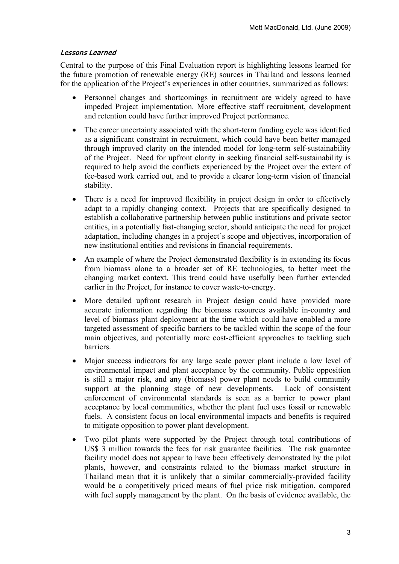## Lessons Learned

Central to the purpose of this Final Evaluation report is highlighting lessons learned for the future promotion of renewable energy (RE) sources in Thailand and lessons learned for the application of the Project's experiences in other countries, summarized as follows:

- Personnel changes and shortcomings in recruitment are widely agreed to have impeded Project implementation. More effective staff recruitment, development and retention could have further improved Project performance.
- The career uncertainty associated with the short-term funding cycle was identified as a significant constraint in recruitment, which could have been better managed through improved clarity on the intended model for long-term self-sustainability of the Project. Need for upfront clarity in seeking financial self-sustainability is required to help avoid the conflicts experienced by the Project over the extent of fee-based work carried out, and to provide a clearer long-term vision of financial stability.
- There is a need for improved flexibility in project design in order to effectively adapt to a rapidly changing context. Projects that are specifically designed to establish a collaborative partnership between public institutions and private sector entities, in a potentially fast-changing sector, should anticipate the need for project adaptation, including changes in a project's scope and objectives, incorporation of new institutional entities and revisions in financial requirements.
- An example of where the Project demonstrated flexibility is in extending its focus from biomass alone to a broader set of RE technologies, to better meet the changing market context. This trend could have usefully been further extended earlier in the Project, for instance to cover waste-to-energy.
- More detailed upfront research in Project design could have provided more accurate information regarding the biomass resources available in-country and level of biomass plant deployment at the time which could have enabled a more targeted assessment of specific barriers to be tackled within the scope of the four main objectives, and potentially more cost-efficient approaches to tackling such barriers.
- Major success indicators for any large scale power plant include a low level of environmental impact and plant acceptance by the community. Public opposition is still a major risk, and any (biomass) power plant needs to build community support at the planning stage of new developments. Lack of consistent enforcement of environmental standards is seen as a barrier to power plant acceptance by local communities, whether the plant fuel uses fossil or renewable fuels. A consistent focus on local environmental impacts and benefits is required to mitigate opposition to power plant development.
- Two pilot plants were supported by the Project through total contributions of US\$ 3 million towards the fees for risk guarantee facilities. The risk guarantee facility model does not appear to have been effectively demonstrated by the pilot plants, however, and constraints related to the biomass market structure in Thailand mean that it is unlikely that a similar commercially-provided facility would be a competitively priced means of fuel price risk mitigation, compared with fuel supply management by the plant. On the basis of evidence available, the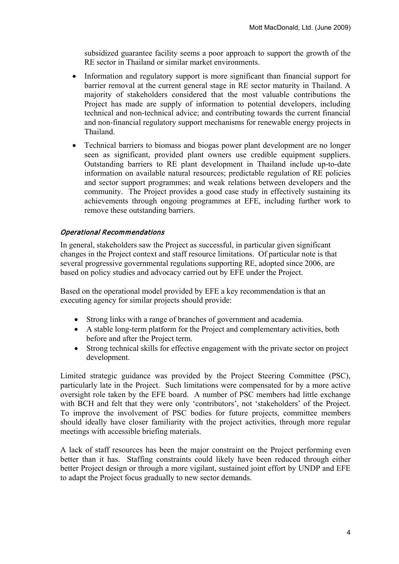subsidized guarantee facility seems a poor approach to support the growth of the RE sector in Thailand or similar market environments.

- Information and regulatory support is more significant than financial support for barrier removal at the current general stage in RE sector maturity in Thailand. A majority of stakeholders considered that the most valuable contributions the Project has made are supply of information to potential developers, including technical and non-technical advice; and contributing towards the current financial and non-financial regulatory support mechanisms for renewable energy projects in Thailand.
- Technical barriers to biomass and biogas power plant development are no longer seen as significant, provided plant owners use credible equipment suppliers. Outstanding barriers to RE plant development in Thailand include up-to-date information on available natural resources; predictable regulation of RE policies and sector support programmes; and weak relations between developers and the community. The Project provides a good case study in effectively sustaining its achievements through ongoing programmes at EFE, including further work to remove these outstanding barriers.

## Operational Recommendations

In general, stakeholders saw the Project as successful, in particular given significant changes in the Project context and staff resource limitations. Of particular note is that several progressive governmental regulations supporting RE, adopted since 2006, are based on policy studies and advocacy carried out by EFE under the Project.

Based on the operational model provided by EFE a key recommendation is that an executing agency for similar projects should provide:

- Strong links with a range of branches of government and academia.
- A stable long-term platform for the Project and complementary activities, both before and after the Project term.
- Strong technical skills for effective engagement with the private sector on project development.

Limited strategic guidance was provided by the Project Steering Committee (PSC), particularly late in the Project. Such limitations were compensated for by a more active oversight role taken by the EFE board. A number of PSC members had little exchange with BCH and felt that they were only 'contributors', not 'stakeholders' of the Project. To improve the involvement of PSC bodies for future projects, committee members should ideally have closer familiarity with the project activities, through more regular meetings with accessible briefing materials.

A lack of staff resources has been the major constraint on the Project performing even better than it has. Staffing constraints could likely have been reduced through either better Project design or through a more vigilant, sustained joint effort by UNDP and EFE to adapt the Project focus gradually to new sector demands.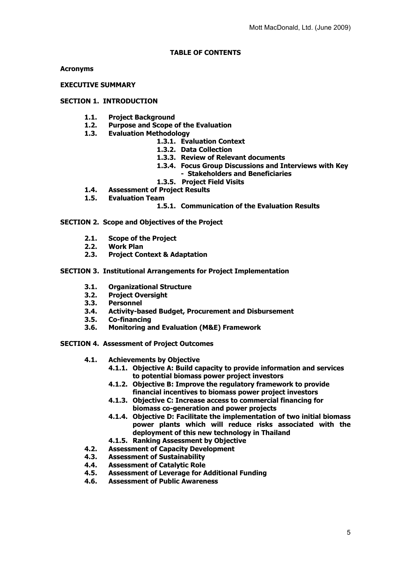#### **TABLE OF CONTENTS**

**Acronyms**

**EXECUTIVE SUMMARY**

#### **SECTION 1. INTRODUCTION**

- **1.1. Project Background**
- **1.2. Purpose and Scope of the Evaluation**
- **1.3. Evaluation Methodology**
	- **1.3.1. Evaluation Context**
	- **1.3.2. Data Collection**
	- **1.3.3. Review of Relevant documents**
	- **1.3.4. Focus Group Discussions and Interviews with Key**
	- **Stakeholders and Beneficiaries**
	- **1.3.5. Project Field Visits**
- **1.4. Assessment of Project Results**
- **1.5. Evaluation Team**

#### **1.5.1. Communication of the Evaluation Results**

**SECTION 2. Scope and Objectives of the Project**

- **2.1. Scope of the Project**
- **2.2. Work Plan**
- **2.3. Project Context & Adaptation**
- **SECTION 3. Institutional Arrangements for Project Implementation**
	- **3.1. Organizational Structure**
	- **3.2. Project Oversight**
	- **3.3. Personnel**
	- **3.4. Activity-based Budget, Procurement and Disbursement**
	- **3.5. Co-financing**
	- **3.6. Monitoring and Evaluation (M&E) Framework**

**SECTION 4. Assessment of Project Outcomes** 

- **4.1. Achievements by Objective**
	- **4.1.1. Objective A: Build capacity to provide information and services to potential biomass power project investors**
	- **4.1.2. Objective B: Improve the regulatory framework to provide financial incentives to biomass power project investors**
	- **4.1.3. Objective C: Increase access to commercial financing for biomass co-generation and power projects**
	- **4.1.4. Objective D: Facilitate the implementation of two initial biomass power plants which will reduce risks associated with the deployment of this new technology in Thailand**
	- **4.1.5. Ranking Assessment by Objective**
- **4.2. Assessment of Capacity Development**
- **4.3. Assessment of Sustainability**
- **4.4. Assessment of Catalytic Role**
- **4.5. Assessment of Leverage for Additional Funding**
- **4.6. Assessment of Public Awareness**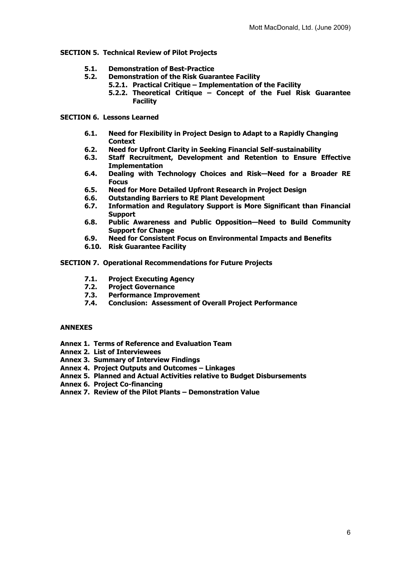#### **SECTION 5. Technical Review of Pilot Projects**

- **5.1. Demonstration of Best-Practice** 
	- **5.2. Demonstration of the Risk Guarantee Facility**
		- **5.2.1. Practical Critique Implementation of the Facility**
			- **5.2.2. Theoretical Critique Concept of the Fuel Risk Guarantee Facility**

#### **SECTION 6. Lessons Learned**

- **6.1. Need for Flexibility in Project Design to Adapt to a Rapidly Changing Context**
- **6.2. Need for Upfront Clarity in Seeking Financial Self-sustainability**
- **Staff Recruitment, Development and Retention to Ensure Effective Implementation**
- **6.4. Dealing with Technology Choices and Risk—Need for a Broader RE Focus**
- **6.5. Need for More Detailed Upfront Research in Project Design**
- **6.6. Outstanding Barriers to RE Plant Development**
- **6.7. Information and Regulatory Support is More Significant than Financial Support**
- **6.8. Public Awareness and Public Opposition—Need to Build Community Support for Change**
- **6.9. Need for Consistent Focus on Environmental Impacts and Benefits**
- **6.10. Risk Guarantee Facility**

#### **SECTION 7. Operational Recommendations for Future Projects**

- **7.1. Project Executing Agency**
- **7.2. Project Governance**
- **7.3. Performance Improvement**
- **7.4. Conclusion: Assessment of Overall Project Performance**

#### **ANNEXES**

- **Annex 1. Terms of Reference and Evaluation Team**
- **Annex 2. List of Interviewees**
- **Annex 3. Summary of Interview Findings**
- **Annex 4. Project Outputs and Outcomes Linkages**
- **Annex 5. Planned and Actual Activities relative to Budget Disbursements**
- **Annex 6. Project Co-financing**
- **Annex 7. Review of the Pilot Plants Demonstration Value**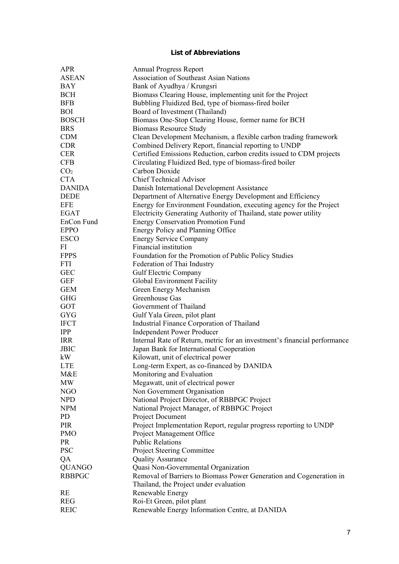## **List of Abbreviations**

| <b>APR</b>      | <b>Annual Progress Report</b>                                             |
|-----------------|---------------------------------------------------------------------------|
| <b>ASEAN</b>    | <b>Association of Southeast Asian Nations</b>                             |
| <b>BAY</b>      | Bank of Ayudhya / Krungsri                                                |
| <b>BCH</b>      | Biomass Clearing House, implementing unit for the Project                 |
| <b>BFB</b>      | Bubbling Fluidized Bed, type of biomass-fired boiler                      |
| <b>BOI</b>      | Board of Investment (Thailand)                                            |
| <b>BOSCH</b>    | Biomass One-Stop Clearing House, former name for BCH                      |
| <b>BRS</b>      | <b>Biomass Resource Study</b>                                             |
| <b>CDM</b>      | Clean Development Mechanism, a flexible carbon trading framework          |
| <b>CDR</b>      | Combined Delivery Report, financial reporting to UNDP                     |
| <b>CER</b>      | Certified Emissions Reduction, carbon credits issued to CDM projects      |
| <b>CFB</b>      | Circulating Fluidized Bed, type of biomass-fired boiler                   |
|                 | Carbon Dioxide                                                            |
| CO <sub>2</sub> |                                                                           |
| <b>CTA</b>      | <b>Chief Technical Advisor</b>                                            |
| <b>DANIDA</b>   | Danish International Development Assistance                               |
| <b>DEDE</b>     | Department of Alternative Energy Development and Efficiency               |
| <b>EFE</b>      | Energy for Environment Foundation, executing agency for the Project       |
| <b>EGAT</b>     | Electricity Generating Authority of Thailand, state power utility         |
| EnCon Fund      | <b>Energy Conservation Promotion Fund</b>                                 |
| <b>EPPO</b>     | Energy Policy and Planning Office                                         |
| <b>ESCO</b>     | <b>Energy Service Company</b>                                             |
| FI              | Financial institution                                                     |
| <b>FPPS</b>     | Foundation for the Promotion of Public Policy Studies                     |
| <b>FTI</b>      | Federation of Thai Industry                                               |
| <b>GEC</b>      | Gulf Electric Company                                                     |
| <b>GEF</b>      | Global Environment Facility                                               |
| <b>GEM</b>      | Green Energy Mechanism                                                    |
| <b>GHG</b>      | Greenhouse Gas                                                            |
| GOT             | Government of Thailand                                                    |
| <b>GYG</b>      | Gulf Yala Green, pilot plant                                              |
| <b>IFCT</b>     | Industrial Finance Corporation of Thailand                                |
| <b>IPP</b>      | <b>Independent Power Producer</b>                                         |
| <b>IRR</b>      | Internal Rate of Return, metric for an investment's financial performance |
| <b>JBIC</b>     | Japan Bank for International Cooperation                                  |
| kW              | Kilowatt, unit of electrical power                                        |
| <b>LTE</b>      | Long-term Expert, as co-financed by DANIDA                                |
| M&E             | Monitoring and Evaluation                                                 |
|                 |                                                                           |
| MW              | Megawatt, unit of electrical power                                        |
| <b>NGO</b>      | Non Government Organisation                                               |
| <b>NPD</b>      | National Project Director, of RBBPGC Project                              |
| <b>NPM</b>      | National Project Manager, of RBBPGC Project                               |
| PD              | Project Document                                                          |
| PIR             | Project Implementation Report, regular progress reporting to UNDP         |
| <b>PMO</b>      | Project Management Office                                                 |
| <b>PR</b>       | <b>Public Relations</b>                                                   |
| <b>PSC</b>      | Project Steering Committee                                                |
| QA              | <b>Quality Assurance</b>                                                  |
| <b>QUANGO</b>   | Quasi Non-Governmental Organization                                       |
| <b>RBBPGC</b>   | Removal of Barriers to Biomass Power Generation and Cogeneration in       |
|                 | Thailand, the Project under evaluation                                    |
| RE              | Renewable Energy                                                          |
| <b>REG</b>      | Roi-Et Green, pilot plant                                                 |
| <b>REIC</b>     | Renewable Energy Information Centre, at DANIDA                            |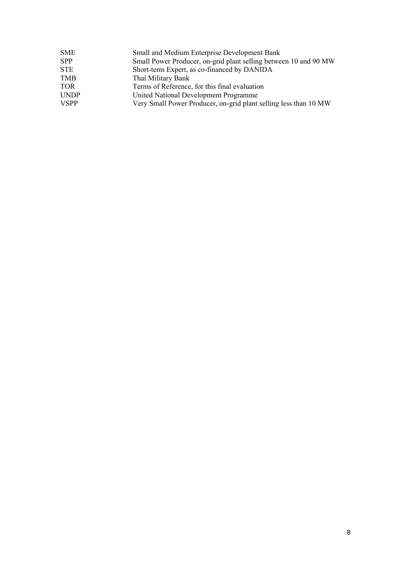| SME         | <b>Small and Medium Enterprise Development Bank</b>              |
|-------------|------------------------------------------------------------------|
| SPP.        | Small Power Producer, on-grid plant selling between 10 and 90 MW |
| STE         | Short-term Expert, as co-financed by DANIDA                      |
| TMB         | Thai Military Bank                                               |
| TOR         | Terms of Reference, for this final evaluation                    |
| UNDP        | United National Development Programme                            |
| <b>VSPP</b> | Very Small Power Producer, on-grid plant selling less than 10 MW |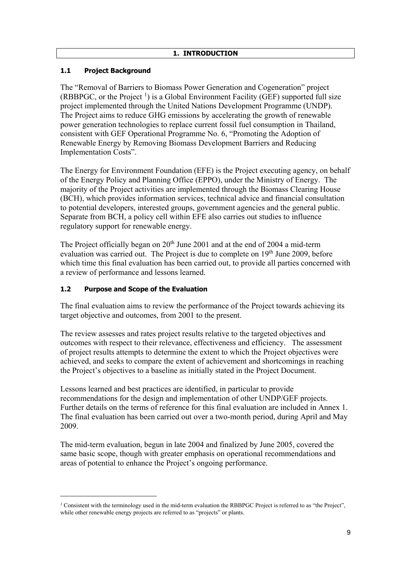# **1.1 Project Background**

The "Removal of Barriers to Biomass Power Generation and Cogeneration" project (RBBPGC, or the Project  $<sup>1</sup>$  $<sup>1</sup>$  $<sup>1</sup>$ ) is a Global Environment Facility (GEF) supported full size</sup> project implemented through the United Nations Development Programme (UNDP). The Project aims to reduce GHG emissions by accelerating the growth of renewable power generation technologies to replace current fossil fuel consumption in Thailand, consistent with GEF Operational Programme No. 6, "Promoting the Adoption of Renewable Energy by Removing Biomass Development Barriers and Reducing Implementation Costs".

The Energy for Environment Foundation (EFE) is the Project executing agency, on behalf of the Energy Policy and Planning Office (EPPO), under the Ministry of Energy. The majority of the Project activities are implemented through the Biomass Clearing House (BCH), which provides information services, technical advice and financial consultation to potential developers, interested groups, government agencies and the general public. Separate from BCH, a policy cell within EFE also carries out studies to influence regulatory support for renewable energy.

The Project officially began on  $20<sup>th</sup>$  June 2001 and at the end of 2004 a mid-term evaluation was carried out. The Project is due to complete on 19<sup>th</sup> June 2009, before which time this final evaluation has been carried out, to provide all parties concerned with a review of performance and lessons learned.

## **1.2 Purpose and Scope of the Evaluation**

<u>.</u>

The final evaluation aims to review the performance of the Project towards achieving its target objective and outcomes, from 2001 to the present.

The review assesses and rates project results relative to the targeted objectives and outcomes with respect to their relevance, effectiveness and efficiency. The assessment of project results attempts to determine the extent to which the Project objectives were achieved, and seeks to compare the extent of achievement and shortcomings in reaching the Project's objectives to a baseline as initially stated in the Project Document.

Lessons learned and best practices are identified, in particular to provide recommendations for the design and implementation of other UNDP/GEF projects. Further details on the terms of reference for this final evaluation are included in Annex 1. The final evaluation has been carried out over a two-month period, during April and May 2009.

The mid-term evaluation, begun in late 2004 and finalized by June 2005, covered the same basic scope, though with greater emphasis on operational recommendations and areas of potential to enhance the Project's ongoing performance.

<span id="page-8-0"></span>*<sup>1</sup>* Consistent with the terminology used in the mid-term evaluation the RBBPGC Project is referred to as "the Project", while other renewable energy projects are referred to as "projects" or plants.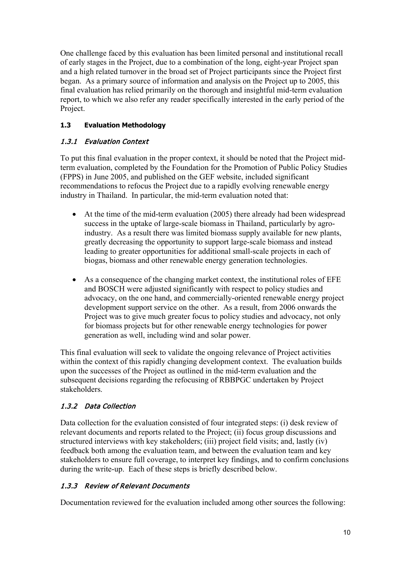One challenge faced by this evaluation has been limited personal and institutional recall of early stages in the Project, due to a combination of the long, eight-year Project span and a high related turnover in the broad set of Project participants since the Project first began. As a primary source of information and analysis on the Project up to 2005, this final evaluation has relied primarily on the thorough and insightful mid-term evaluation report, to which we also refer any reader specifically interested in the early period of the Project.

# **1.3 Evaluation Methodology**

# 1.3.1 Evaluation Context

To put this final evaluation in the proper context, it should be noted that the Project midterm evaluation, completed by the Foundation for the Promotion of Public Policy Studies (FPPS) in June 2005, and published on the GEF website, included significant recommendations to refocus the Project due to a rapidly evolving renewable energy industry in Thailand. In particular, the mid-term evaluation noted that:

- At the time of the mid-term evaluation (2005) there already had been widespread success in the uptake of large-scale biomass in Thailand, particularly by agroindustry. As a result there was limited biomass supply available for new plants, greatly decreasing the opportunity to support large-scale biomass and instead leading to greater opportunities for additional small-scale projects in each of biogas, biomass and other renewable energy generation technologies.
- As a consequence of the changing market context, the institutional roles of EFE and BOSCH were adjusted significantly with respect to policy studies and advocacy, on the one hand, and commercially-oriented renewable energy project development support service on the other. As a result, from 2006 onwards the Project was to give much greater focus to policy studies and advocacy, not only for biomass projects but for other renewable energy technologies for power generation as well, including wind and solar power.

This final evaluation will seek to validate the ongoing relevance of Project activities within the context of this rapidly changing development context. The evaluation builds upon the successes of the Project as outlined in the mid-term evaluation and the subsequent decisions regarding the refocusing of RBBPGC undertaken by Project stakeholders.

# 1.3.2 Data Collection

Data collection for the evaluation consisted of four integrated steps: (i) desk review of relevant documents and reports related to the Project; (ii) focus group discussions and structured interviews with key stakeholders; (iii) project field visits; and, lastly (iv) feedback both among the evaluation team, and between the evaluation team and key stakeholders to ensure full coverage, to interpret key findings, and to confirm conclusions during the write-up. Each of these steps is briefly described below.

# 1.3.3 Review of Relevant Documents

Documentation reviewed for the evaluation included among other sources the following: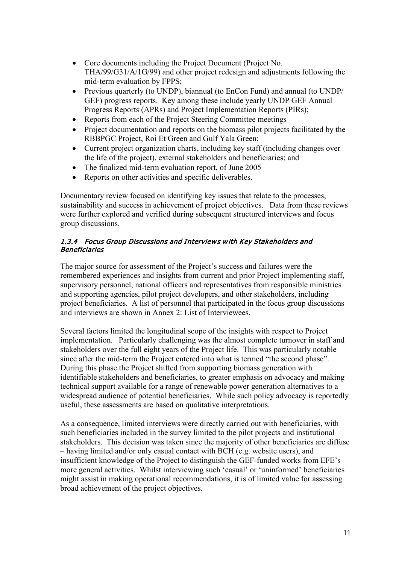- Core documents including the Project Document (Project No. THA/99/G31/A/1G/99) and other project redesign and adjustments following the mid-term evaluation by FPPS;
- Previous quarterly (to UNDP), biannual (to EnCon Fund) and annual (to UNDP/ GEF) progress reports. Key among these include yearly UNDP GEF Annual Progress Reports (APRs) and Project Implementation Reports (PIRs);
- Reports from each of the Project Steering Committee meetings
- Project documentation and reports on the biomass pilot projects facilitated by the RBBPGC Project, Roi Et Green and Gulf Yala Green;
- Current project organization charts, including key staff (including changes over the life of the project), external stakeholders and beneficiaries; and
- The finalized mid-term evaluation report, of June 2005
- Reports on other activities and specific deliverables.

Documentary review focused on identifying key issues that relate to the processes, sustainability and success in achievement of project objectives. Data from these reviews were further explored and verified during subsequent structured interviews and focus group discussions.

## 1.3.4 Focus Group Discussions and Interviews with Key Stakeholders and Beneficiaries

The major source for assessment of the Project's success and failures were the remembered experiences and insights from current and prior Project implementing staff, supervisory personnel, national officers and representatives from responsible ministries and supporting agencies, pilot project developers, and other stakeholders, including project beneficiaries. A list of personnel that participated in the focus group discussions and interviews are shown in Annex 2: List of Interviewees.

Several factors limited the longitudinal scope of the insights with respect to Project implementation. Particularly challenging was the almost complete turnover in staff and stakeholders over the full eight years of the Project life. This was particularly notable since after the mid-term the Project entered into what is termed "the second phase". During this phase the Project shifted from supporting biomass generation with identifiable stakeholders and beneficiaries, to greater emphasis on advocacy and making technical support available for a range of renewable power generation alternatives to a widespread audience of potential beneficiaries. While such policy advocacy is reportedly useful, these assessments are based on qualitative interpretations.

As a consequence, limited interviews were directly carried out with beneficiaries, with such beneficiaries included in the survey limited to the pilot projects and institutional stakeholders. This decision was taken since the majority of other beneficiaries are diffuse – having limited and/or only casual contact with BCH (e.g. website users), and insufficient knowledge of the Project to distinguish the GEF-funded works from EFE's more general activities. Whilst interviewing such 'casual' or 'uninformed' beneficiaries might assist in making operational recommendations, it is of limited value for assessing broad achievement of the project objectives.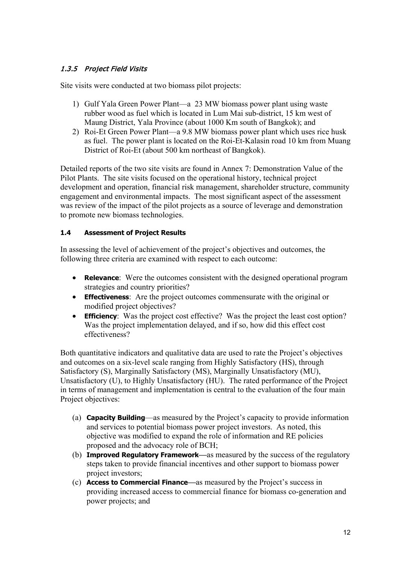# 1.3.5 Project Field Visits

Site visits were conducted at two biomass pilot projects:

- 1) Gulf Yala Green Power Plant—a 23 MW biomass power plant using waste rubber wood as fuel which is located in Lum Mai sub-district, 15 km west of Maung District, Yala Province (about 1000 Km south of Bangkok); and
- 2) Roi-Et Green Power Plant—a 9.8 MW biomass power plant which uses rice husk as fuel. The power plant is located on the Roi-Et-Kalasin road 10 km from Muang District of Roi-Et (about 500 km northeast of Bangkok).

Detailed reports of the two site visits are found in Annex 7: Demonstration Value of the Pilot Plants. The site visits focused on the operational history, technical project development and operation, financial risk management, shareholder structure, community engagement and environmental impacts. The most significant aspect of the assessment was review of the impact of the pilot projects as a source of leverage and demonstration to promote new biomass technologies.

## **1.4 Assessment of Project Results**

In assessing the level of achievement of the project's objectives and outcomes, the following three criteria are examined with respect to each outcome:

- **Relevance**: Were the outcomes consistent with the designed operational program strategies and country priorities?
- **Effectiveness**: Are the project outcomes commensurate with the original or modified project objectives?
- **Efficiency**: Was the project cost effective? Was the project the least cost option? Was the project implementation delayed, and if so, how did this effect cost effectiveness?

Both quantitative indicators and qualitative data are used to rate the Project's objectives and outcomes on a six-level scale ranging from Highly Satisfactory (HS), through Satisfactory (S), Marginally Satisfactory (MS), Marginally Unsatisfactory (MU), Unsatisfactory (U), to Highly Unsatisfactory (HU). The rated performance of the Project in terms of management and implementation is central to the evaluation of the four main Project objectives:

- (a) **Capacity Building**—as measured by the Project's capacity to provide information and services to potential biomass power project investors. As noted, this objective was modified to expand the role of information and RE policies proposed and the advocacy role of BCH;
- (b) **Improved Regulatory Framework—**as measured by the success of the regulatory steps taken to provide financial incentives and other support to biomass power project investors;
- (c) **Access to Commercial Finance—**as measured by the Project's success in providing increased access to commercial finance for biomass co-generation and power projects; and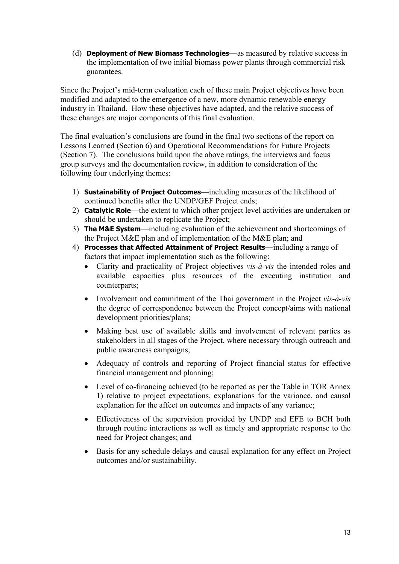(d) **Deployment of New Biomass Technologies—**as measured by relative success in the implementation of two initial biomass power plants through commercial risk guarantees.

Since the Project's mid-term evaluation each of these main Project objectives have been modified and adapted to the emergence of a new, more dynamic renewable energy industry in Thailand. How these objectives have adapted, and the relative success of these changes are major components of this final evaluation.

The final evaluation's conclusions are found in the final two sections of the report on Lessons Learned (Section 6) and Operational Recommendations for Future Projects (Section 7). The conclusions build upon the above ratings, the interviews and focus group surveys and the documentation review, in addition to consideration of the following four underlying themes:

- 1) **Sustainability of Project Outcomes—**including measures of the likelihood of continued benefits after the UNDP/GEF Project ends;
- 2) **Catalytic Role—**the extent to which other project level activities are undertaken or should be undertaken to replicate the Project;
- 3) **The M&E System**—including evaluation of the achievement and shortcomings of the Project M&E plan and of implementation of the M&E plan; and
- 4) **Processes that Affected Attainment of Project Results**—including a range of factors that impact implementation such as the following:
	- Clarity and practicality of Project objectives *vis-à-vis* the intended roles and available capacities plus resources of the executing institution and counterparts;
	- Involvement and commitment of the Thai government in the Project *vis-à-vis* the degree of correspondence between the Project concept/aims with national development priorities/plans;
	- Making best use of available skills and involvement of relevant parties as stakeholders in all stages of the Project, where necessary through outreach and public awareness campaigns;
	- Adequacy of controls and reporting of Project financial status for effective financial management and planning;
	- Level of co-financing achieved (to be reported as per the Table in TOR Annex 1) relative to project expectations, explanations for the variance, and causal explanation for the affect on outcomes and impacts of any variance;
	- Effectiveness of the supervision provided by UNDP and EFE to BCH both through routine interactions as well as timely and appropriate response to the need for Project changes; and
	- Basis for any schedule delays and causal explanation for any effect on Project outcomes and/or sustainability.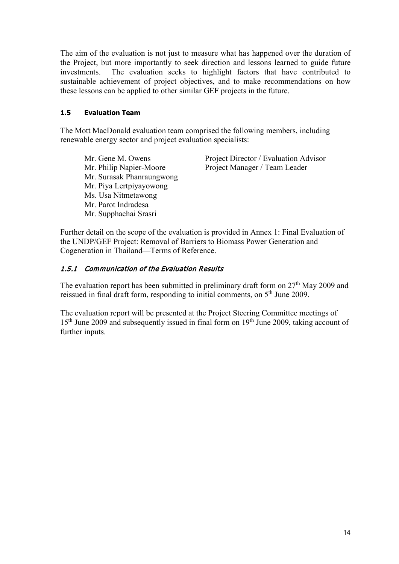The aim of the evaluation is not just to measure what has happened over the duration of the Project, but more importantly to seek direction and lessons learned to guide future investments. The evaluation seeks to highlight factors that have contributed to sustainable achievement of project objectives, and to make recommendations on how these lessons can be applied to other similar GEF projects in the future.

## **1.5 Evaluation Team**

The Mott MacDonald evaluation team comprised the following members, including renewable energy sector and project evaluation specialists:

Mr. Gene M. Owens Project Director / Evaluation Advisor Mr. Philip Napier-Moore Project Manager / Team Leader Mr. Surasak Phanraungwong Mr. Piya Lertpiyayowong Ms. Usa Nitmetawong Mr. Parot Indradesa Mr. Supphachai Srasri

Further detail on the scope of the evaluation is provided in Annex 1: Final Evaluation of the UNDP/GEF Project: Removal of Barriers to Biomass Power Generation and Cogeneration in Thailand—Terms of Reference.

## 1.5.1 Communication of the Evaluation Results

The evaluation report has been submitted in preliminary draft form on  $27<sup>th</sup>$  May 2009 and reissued in final draft form, responding to initial comments, on 5<sup>th</sup> June 2009.

The evaluation report will be presented at the Project Steering Committee meetings of 15<sup>th</sup> June 2009 and subsequently issued in final form on 19<sup>th</sup> June 2009, taking account of further inputs.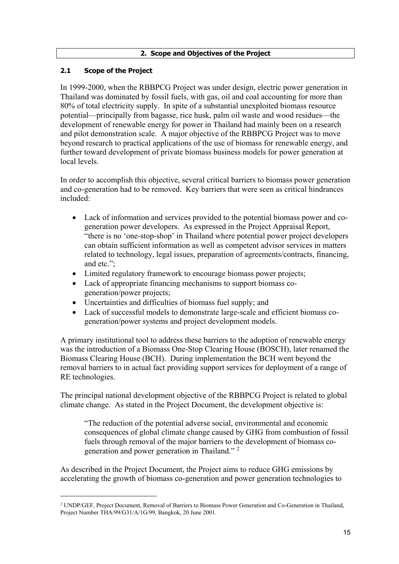#### **2. Scope and Objectives of the Project**

## **2.1 Scope of the Project**

<u>.</u>

In 1999-2000, when the RBBPCG Project was under design, electric power generation in Thailand was dominated by fossil fuels, with gas, oil and coal accounting for more than 80% of total electricity supply. In spite of a substantial unexploited biomass resource potential—principally from bagasse, rice husk, palm oil waste and wood residues—the development of renewable energy for power in Thailand had mainly been on a research and pilot demonstration scale. A major objective of the RBBPCG Project was to move beyond research to practical applications of the use of biomass for renewable energy, and further toward development of private biomass business models for power generation at local levels.

In order to accomplish this objective, several critical barriers to biomass power generation and co-generation had to be removed. Key barriers that were seen as critical hindrances included:

- Lack of information and services provided to the potential biomass power and cogeneration power developers. As expressed in the Project Appraisal Report, "there is no 'one-stop-shop' in Thailand where potential power project developers can obtain sufficient information as well as competent advisor services in matters related to technology, legal issues, preparation of agreements/contracts, financing, and etc.";
- Limited regulatory framework to encourage biomass power projects;
- Lack of appropriate financing mechanisms to support biomass cogeneration/power projects;
- Uncertainties and difficulties of biomass fuel supply; and
- Lack of successful models to demonstrate large-scale and efficient biomass cogeneration/power systems and project development models.

A primary institutional tool to address these barriers to the adoption of renewable energy was the introduction of a Biomass One-Stop Clearing House (BOSCH), later renamed the Biomass Clearing House (BCH). During implementation the BCH went beyond the removal barriers to in actual fact providing support services for deployment of a range of RE technologies.

The principal national development objective of the RBBPCG Project is related to global climate change. As stated in the Project Document, the development objective is:

"The reduction of the potential adverse social, environmental and economic consequences of global climate change caused by GHG from combustion of fossil fuels through removal of the major barriers to the development of biomass cogeneration and power generation in Thailand." [2](#page-14-0)

As described in the Project Document, the Project aims to reduce GHG emissions by accelerating the growth of biomass co-generation and power generation technologies to

<span id="page-14-0"></span>*<sup>2</sup>* UNDP/GEF, Project Document, Removal of Barriers to Biomass Power Generation and Co-Generation in Thailand, Project Number THA/99/G31/A/1G/99, Bangkok, 20 June 2001.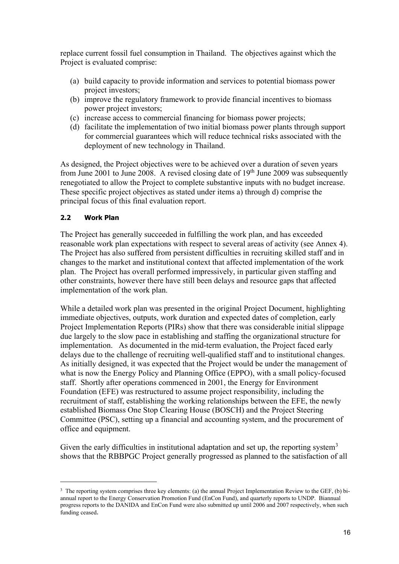replace current fossil fuel consumption in Thailand. The objectives against which the Project is evaluated comprise:

- (a) build capacity to provide information and services to potential biomass power project investors;
- (b) improve the regulatory framework to provide financial incentives to biomass power project investors;
- (c) increase access to commercial financing for biomass power projects;
- (d) facilitate the implementation of two initial biomass power plants through support for commercial guarantees which will reduce technical risks associated with the deployment of new technology in Thailand.

As designed, the Project objectives were to be achieved over a duration of seven years from June 2001 to June 2008. A revised closing date of  $19<sup>th</sup>$  June 2009 was subsequently renegotiated to allow the Project to complete substantive inputs with no budget increase. These specific project objectives as stated under items a) through d) comprise the principal focus of this final evaluation report.

## **2.2 Work Plan**

-

The Project has generally succeeded in fulfilling the work plan, and has exceeded reasonable work plan expectations with respect to several areas of activity (see Annex 4). The Project has also suffered from persistent difficulties in recruiting skilled staff and in changes to the market and institutional context that affected implementation of the work plan. The Project has overall performed impressively, in particular given staffing and other constraints, however there have still been delays and resource gaps that affected implementation of the work plan.

While a detailed work plan was presented in the original Project Document, highlighting immediate objectives, outputs, work duration and expected dates of completion, early Project Implementation Reports (PIRs) show that there was considerable initial slippage due largely to the slow pace in establishing and staffing the organizational structure for implementation. As documented in the mid-term evaluation, the Project faced early delays due to the challenge of recruiting well-qualified staff and to institutional changes. As initially designed, it was expected that the Project would be under the management of what is now the Energy Policy and Planning Office (EPPO), with a small policy-focused staff. Shortly after operations commenced in 2001, the Energy for Environment Foundation (EFE) was restructured to assume project responsibility, including the recruitment of staff, establishing the working relationships between the EFE, the newly established Biomass One Stop Clearing House (BOSCH) and the Project Steering Committee (PSC), setting up a financial and accounting system, and the procurement of office and equipment.

Given the early difficulties in institutional adaptation and set up, the reporting system<sup>[3](#page-15-0)</sup> shows that the RBBPGC Project generally progressed as planned to the satisfaction of all

<span id="page-15-0"></span><sup>&</sup>lt;sup>3</sup> The reporting system comprises three key elements: (a) the annual Project Implementation Review to the GEF, (b) biannual report to the Energy Conservation Promotion Fund (EnCon Fund), and quarterly reports to UNDP. Biannual progress reports to the DANIDA and EnCon Fund were also submitted up until 2006 and 2007 respectively, when such funding ceased.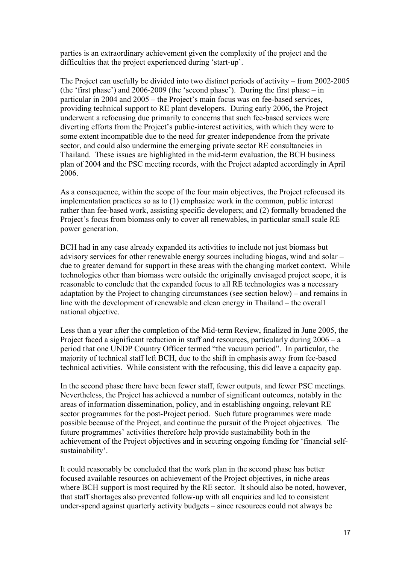parties is an extraordinary achievement given the complexity of the project and the difficulties that the project experienced during 'start-up'.

The Project can usefully be divided into two distinct periods of activity – from 2002-2005 (the 'first phase') and 2006-2009 (the 'second phase'). During the first phase – in particular in 2004 and 2005 – the Project's main focus was on fee-based services, providing technical support to RE plant developers. During early 2006, the Project underwent a refocusing due primarily to concerns that such fee-based services were diverting efforts from the Project's public-interest activities, with which they were to some extent incompatible due to the need for greater independence from the private sector, and could also undermine the emerging private sector RE consultancies in Thailand. These issues are highlighted in the mid-term evaluation, the BCH business plan of 2004 and the PSC meeting records, with the Project adapted accordingly in April 2006.

As a consequence, within the scope of the four main objectives, the Project refocused its implementation practices so as to (1) emphasize work in the common, public interest rather than fee-based work, assisting specific developers; and (2) formally broadened the Project's focus from biomass only to cover all renewables, in particular small scale RE power generation.

BCH had in any case already expanded its activities to include not just biomass but advisory services for other renewable energy sources including biogas, wind and solar – due to greater demand for support in these areas with the changing market context. While technologies other than biomass were outside the originally envisaged project scope, it is reasonable to conclude that the expanded focus to all RE technologies was a necessary adaptation by the Project to changing circumstances (see section below) – and remains in line with the development of renewable and clean energy in Thailand – the overall national objective.

Less than a year after the completion of the Mid-term Review, finalized in June 2005, the Project faced a significant reduction in staff and resources, particularly during 2006 – a period that one UNDP Country Officer termed "the vacuum period". In particular, the majority of technical staff left BCH, due to the shift in emphasis away from fee-based technical activities. While consistent with the refocusing, this did leave a capacity gap.

In the second phase there have been fewer staff, fewer outputs, and fewer PSC meetings. Nevertheless, the Project has achieved a number of significant outcomes, notably in the areas of information dissemination, policy, and in establishing ongoing, relevant RE sector programmes for the post-Project period. Such future programmes were made possible because of the Project, and continue the pursuit of the Project objectives. The future programmes' activities therefore help provide sustainability both in the achievement of the Project objectives and in securing ongoing funding for 'financial selfsustainability'.

It could reasonably be concluded that the work plan in the second phase has better focused available resources on achievement of the Project objectives, in niche areas where BCH support is most required by the RE sector. It should also be noted, however, that staff shortages also prevented follow-up with all enquiries and led to consistent under-spend against quarterly activity budgets – since resources could not always be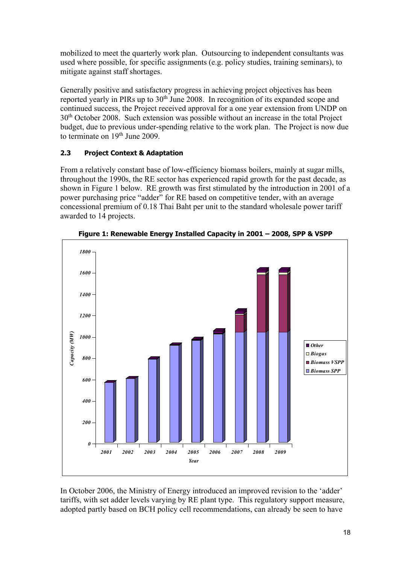mobilized to meet the quarterly work plan. Outsourcing to independent consultants was used where possible, for specific assignments (e.g. policy studies, training seminars), to mitigate against staff shortages.

Generally positive and satisfactory progress in achieving project objectives has been reported yearly in PIRs up to 30<sup>th</sup> June 2008. In recognition of its expanded scope and continued success, the Project received approval for a one year extension from UNDP on 30<sup>th</sup> October 2008. Such extension was possible without an increase in the total Project budget, due to previous under-spending relative to the work plan. The Project is now due to terminate on 19<sup>th</sup> June 2009.

# **2.3 Project Context & Adaptation**

From a relatively constant base of low-efficiency biomass boilers, mainly at sugar mills, throughout the 1990s, the RE sector has experienced rapid growth for the past decade, as shown in Figure 1 below. RE growth was first stimulated by the introduction in 2001 of a power purchasing price "adder" for RE based on competitive tender, with an average concessional premium of 0.18 Thai Baht per unit to the standard wholesale power tariff awarded to 14 projects.



**Figure 1: Renewable Energy Installed Capacity in 2001 – 2008, SPP & VSPP**

In October 2006, the Ministry of Energy introduced an improved revision to the 'adder' tariffs, with set adder levels varying by RE plant type. This regulatory support measure, adopted partly based on BCH policy cell recommendations, can already be seen to have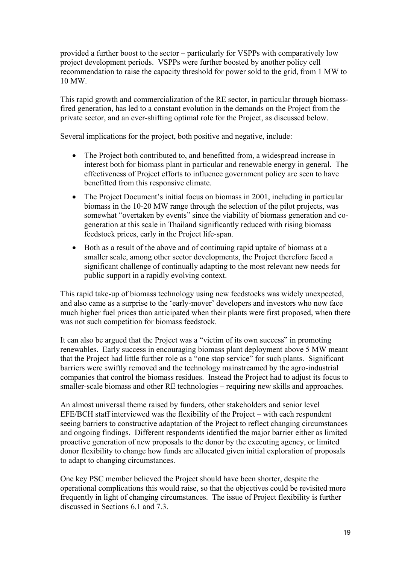provided a further boost to the sector – particularly for VSPPs with comparatively low project development periods. VSPPs were further boosted by another policy cell recommendation to raise the capacity threshold for power sold to the grid, from 1 MW to 10 MW.

This rapid growth and commercialization of the RE sector, in particular through biomassfired generation, has led to a constant evolution in the demands on the Project from the private sector, and an ever-shifting optimal role for the Project, as discussed below.

Several implications for the project, both positive and negative, include:

- The Project both contributed to, and benefitted from, a widespread increase in interest both for biomass plant in particular and renewable energy in general. The effectiveness of Project efforts to influence government policy are seen to have benefitted from this responsive climate.
- The Project Document's initial focus on biomass in 2001, including in particular biomass in the 10-20 MW range through the selection of the pilot projects, was somewhat "overtaken by events" since the viability of biomass generation and cogeneration at this scale in Thailand significantly reduced with rising biomass feedstock prices, early in the Project life-span.
- Both as a result of the above and of continuing rapid uptake of biomass at a smaller scale, among other sector developments, the Project therefore faced a significant challenge of continually adapting to the most relevant new needs for public support in a rapidly evolving context.

This rapid take-up of biomass technology using new feedstocks was widely unexpected, and also came as a surprise to the 'early-mover' developers and investors who now face much higher fuel prices than anticipated when their plants were first proposed, when there was not such competition for biomass feedstock.

It can also be argued that the Project was a "victim of its own success" in promoting renewables. Early success in encouraging biomass plant deployment above 5 MW meant that the Project had little further role as a "one stop service" for such plants. Significant barriers were swiftly removed and the technology mainstreamed by the agro-industrial companies that control the biomass residues. Instead the Project had to adjust its focus to smaller-scale biomass and other RE technologies – requiring new skills and approaches.

An almost universal theme raised by funders, other stakeholders and senior level EFE/BCH staff interviewed was the flexibility of the Project – with each respondent seeing barriers to constructive adaptation of the Project to reflect changing circumstances and ongoing findings. Different respondents identified the major barrier either as limited proactive generation of new proposals to the donor by the executing agency, or limited donor flexibility to change how funds are allocated given initial exploration of proposals to adapt to changing circumstances.

One key PSC member believed the Project should have been shorter, despite the operational complications this would raise, so that the objectives could be revisited more frequently in light of changing circumstances. The issue of Project flexibility is further discussed in Sections 6.1 and 7.3.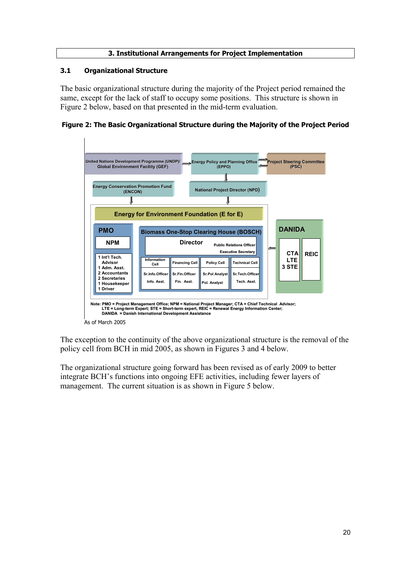## **3. Institutional Arrangements for Project Implementation**

## **3.1 Organizational Structure**

The basic organizational structure during the majority of the Project period remained the same, except for the lack of staff to occupy some positions. This structure is shown in Figure 2 below, based on that presented in the mid-term evaluation.

**Figure 2: The Basic Organizational Structure during the Majority of the Project Period**



The exception to the continuity of the above organizational structure is the removal of the policy cell from BCH in mid 2005, as shown in Figures 3 and 4 below.

The organizational structure going forward has been revised as of early 2009 to better integrate BCH's functions into ongoing EFE activities, including fewer layers of management. The current situation is as shown in Figure 5 below.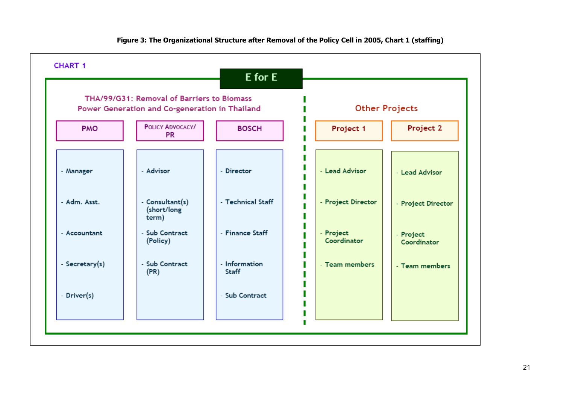

#### **Figure 3: The Organizational Structure after Removal of the Policy Cell in 2005, Chart 1 (staffing)**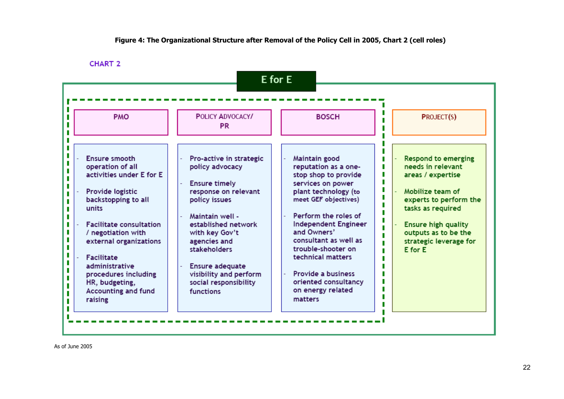#### **Figure 4: The Organizational Structure after Removal of the Policy Cell in 2005, Chart 2 (cell roles)**

**CHART 2** 



As of June 2005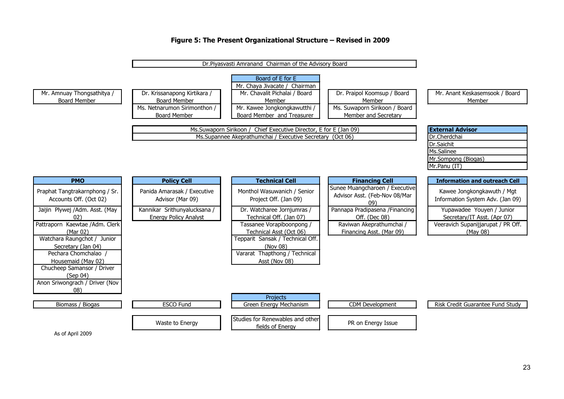#### **Figure 5: The Present Organizational Structure – Revised in 2009**



As of April 2009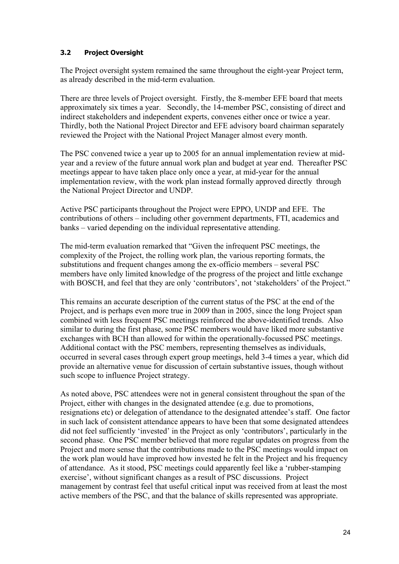## **3.2 Project Oversight**

The Project oversight system remained the same throughout the eight-year Project term, as already described in the mid-term evaluation.

There are three levels of Project oversight. Firstly, the 8-member EFE board that meets approximately six times a year. Secondly, the 14-member PSC, consisting of direct and indirect stakeholders and independent experts, convenes either once or twice a year. Thirdly, both the National Project Director and EFE advisory board chairman separately reviewed the Project with the National Project Manager almost every month.

The PSC convened twice a year up to 2005 for an annual implementation review at midyear and a review of the future annual work plan and budget at year end. Thereafter PSC meetings appear to have taken place only once a year, at mid-year for the annual implementation review, with the work plan instead formally approved directly through the National Project Director and UNDP.

Active PSC participants throughout the Project were EPPO, UNDP and EFE. The contributions of others – including other government departments, FTI, academics and banks – varied depending on the individual representative attending.

The mid-term evaluation remarked that "Given the infrequent PSC meetings, the complexity of the Project, the rolling work plan, the various reporting formats, the substitutions and frequent changes among the ex-officio members – several PSC members have only limited knowledge of the progress of the project and little exchange with BOSCH, and feel that they are only 'contributors', not 'stakeholders' of the Project."

This remains an accurate description of the current status of the PSC at the end of the Project, and is perhaps even more true in 2009 than in 2005, since the long Project span combined with less frequent PSC meetings reinforced the above-identified trends. Also similar to during the first phase, some PSC members would have liked more substantive exchanges with BCH than allowed for within the operationally-focussed PSC meetings. Additional contact with the PSC members, representing themselves as individuals, occurred in several cases through expert group meetings, held 3-4 times a year, which did provide an alternative venue for discussion of certain substantive issues, though without such scope to influence Project strategy.

As noted above, PSC attendees were not in general consistent throughout the span of the Project, either with changes in the designated attendee (e.g. due to promotions, resignations etc) or delegation of attendance to the designated attendee's staff. One factor in such lack of consistent attendance appears to have been that some designated attendees did not feel sufficiently 'invested' in the Project as only 'contributors', particularly in the second phase. One PSC member believed that more regular updates on progress from the Project and more sense that the contributions made to the PSC meetings would impact on the work plan would have improved how invested he felt in the Project and his frequency of attendance. As it stood, PSC meetings could apparently feel like a 'rubber-stamping exercise', without significant changes as a result of PSC discussions. Project management by contrast feel that useful critical input was received from at least the most active members of the PSC, and that the balance of skills represented was appropriate.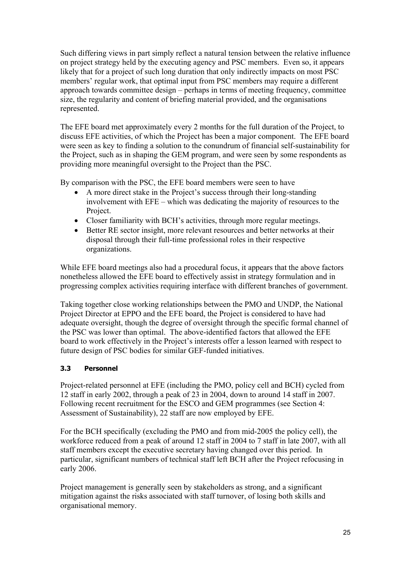Such differing views in part simply reflect a natural tension between the relative influence on project strategy held by the executing agency and PSC members. Even so, it appears likely that for a project of such long duration that only indirectly impacts on most PSC members' regular work, that optimal input from PSC members may require a different approach towards committee design – perhaps in terms of meeting frequency, committee size, the regularity and content of briefing material provided, and the organisations represented.

The EFE board met approximately every 2 months for the full duration of the Project, to discuss EFE activities, of which the Project has been a major component. The EFE board were seen as key to finding a solution to the conundrum of financial self-sustainability for the Project, such as in shaping the GEM program, and were seen by some respondents as providing more meaningful oversight to the Project than the PSC.

By comparison with the PSC, the EFE board members were seen to have

- A more direct stake in the Project's success through their long-standing involvement with EFE – which was dedicating the majority of resources to the Project.
- Closer familiarity with BCH's activities, through more regular meetings.
- Better RE sector insight, more relevant resources and better networks at their disposal through their full-time professional roles in their respective organizations.

While EFE board meetings also had a procedural focus, it appears that the above factors nonetheless allowed the EFE board to effectively assist in strategy formulation and in progressing complex activities requiring interface with different branches of government.

Taking together close working relationships between the PMO and UNDP, the National Project Director at EPPO and the EFE board, the Project is considered to have had adequate oversight, though the degree of oversight through the specific formal channel of the PSC was lower than optimal. The above-identified factors that allowed the EFE board to work effectively in the Project's interests offer a lesson learned with respect to future design of PSC bodies for similar GEF-funded initiatives.

# **3.3 Personnel**

Project-related personnel at EFE (including the PMO, policy cell and BCH) cycled from 12 staff in early 2002, through a peak of 23 in 2004, down to around 14 staff in 2007. Following recent recruitment for the ESCO and GEM programmes (see Section 4: Assessment of Sustainability), 22 staff are now employed by EFE.

For the BCH specifically (excluding the PMO and from mid-2005 the policy cell), the workforce reduced from a peak of around 12 staff in 2004 to 7 staff in late 2007, with all staff members except the executive secretary having changed over this period. In particular, significant numbers of technical staff left BCH after the Project refocusing in early 2006.

Project management is generally seen by stakeholders as strong, and a significant mitigation against the risks associated with staff turnover, of losing both skills and organisational memory.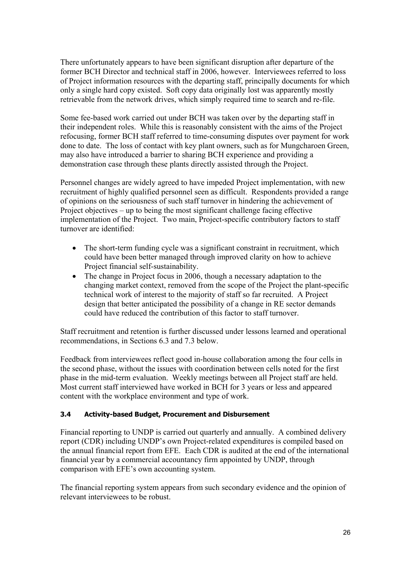There unfortunately appears to have been significant disruption after departure of the former BCH Director and technical staff in 2006, however. Interviewees referred to loss of Project information resources with the departing staff, principally documents for which only a single hard copy existed. Soft copy data originally lost was apparently mostly retrievable from the network drives, which simply required time to search and re-file.

Some fee-based work carried out under BCH was taken over by the departing staff in their independent roles. While this is reasonably consistent with the aims of the Project refocusing, former BCH staff referred to time-consuming disputes over payment for work done to date. The loss of contact with key plant owners, such as for Mungcharoen Green, may also have introduced a barrier to sharing BCH experience and providing a demonstration case through these plants directly assisted through the Project.

Personnel changes are widely agreed to have impeded Project implementation, with new recruitment of highly qualified personnel seen as difficult. Respondents provided a range of opinions on the seriousness of such staff turnover in hindering the achievement of Project objectives – up to being the most significant challenge facing effective implementation of the Project. Two main, Project-specific contributory factors to staff turnover are identified:

- The short-term funding cycle was a significant constraint in recruitment, which could have been better managed through improved clarity on how to achieve Project financial self-sustainability.
- The change in Project focus in 2006, though a necessary adaptation to the changing market context, removed from the scope of the Project the plant-specific technical work of interest to the majority of staff so far recruited. A Project design that better anticipated the possibility of a change in RE sector demands could have reduced the contribution of this factor to staff turnover.

Staff recruitment and retention is further discussed under lessons learned and operational recommendations, in Sections 6.3 and 7.3 below.

Feedback from interviewees reflect good in-house collaboration among the four cells in the second phase, without the issues with coordination between cells noted for the first phase in the mid-term evaluation. Weekly meetings between all Project staff are held. Most current staff interviewed have worked in BCH for 3 years or less and appeared content with the workplace environment and type of work.

## **3.4 Activity-based Budget, Procurement and Disbursement**

Financial reporting to UNDP is carried out quarterly and annually. A combined delivery report (CDR) including UNDP's own Project-related expenditures is compiled based on the annual financial report from EFE. Each CDR is audited at the end of the international financial year by a commercial accountancy firm appointed by UNDP, through comparison with EFE's own accounting system.

The financial reporting system appears from such secondary evidence and the opinion of relevant interviewees to be robust.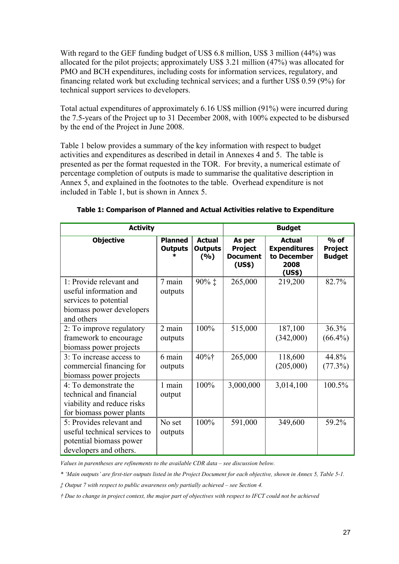With regard to the GEF funding budget of US\$ 6.8 million, US\$ 3 million (44%) was allocated for the pilot projects; approximately US\$ 3.21 million (47%) was allocated for PMO and BCH expenditures, including costs for information services, regulatory, and financing related work but excluding technical services; and a further US\$ 0.59 (9%) for technical support services to developers.

Total actual expenditures of approximately 6.16 US\$ million (91%) were incurred during the 7.5-years of the Project up to 31 December 2008, with 100% expected to be disbursed by the end of the Project in June 2008.

Table 1 below provides a summary of the key information with respect to budget activities and expenditures as described in detail in Annexes 4 and 5. The table is presented as per the format requested in the TOR. For brevity, a numerical estimate of percentage completion of outputs is made to summarise the qualitative description in Annex 5, and explained in the footnotes to the table. Overhead expenditure is not included in Table 1, but is shown in Annex 5.

| <b>Activity</b>                                                                                                      | <b>Budget</b>                    |                                        |                                                       |                                                                       |                                           |
|----------------------------------------------------------------------------------------------------------------------|----------------------------------|----------------------------------------|-------------------------------------------------------|-----------------------------------------------------------------------|-------------------------------------------|
| <b>Objective</b>                                                                                                     | <b>Planned</b><br><b>Outputs</b> | <b>Actual</b><br><b>Outputs</b><br>(%) | As per<br><b>Project</b><br><b>Document</b><br>(US\$) | <b>Actual</b><br><b>Expenditures</b><br>to December<br>2008<br>(US\$) | $%$ of<br><b>Project</b><br><b>Budget</b> |
| 1: Provide relevant and<br>useful information and<br>services to potential<br>biomass power developers<br>and others | 7 main<br>outputs                | 90% ‡                                  | 265,000                                               | 219,200                                                               | 82.7%                                     |
| 2: To improve regulatory<br>framework to encourage<br>biomass power projects                                         | 2 main<br>outputs                | 100%                                   | 515,000                                               | 187,100<br>(342,000)                                                  | 36.3%<br>$(66.4\%)$                       |
| 3: To increase access to<br>commercial financing for<br>biomass power projects                                       | 6 main<br>outputs                | $40\%$ †                               | 265,000                                               | 118,600<br>(205,000)                                                  | 44.8%<br>(77.3%)                          |
| 4: To demonstrate the<br>technical and financial<br>viability and reduce risks<br>for biomass power plants           | 1 main<br>output                 | 100%                                   | 3,000,000                                             | 3,014,100                                                             | 100.5%                                    |
| 5: Provides relevant and<br>useful technical services to<br>potential biomass power<br>developers and others.        | No set<br>outputs                | 100%                                   | 591,000                                               | 349,600                                                               | 59.2%                                     |

#### **Table 1: Comparison of Planned and Actual Activities relative to Expenditure**

*Values in parentheses are refinements to the available CDR data – see discussion below.*

*\* 'Main outputs' are first-tier outputs listed in the Project Document for each objective, shown in Annex 5, Table 5-1.* 

*‡ Output 7 with respect to public awareness only partially achieved – see Section 4.* 

*† Due to change in project context, the major part of objectives with respect to IFCT could not be achieved*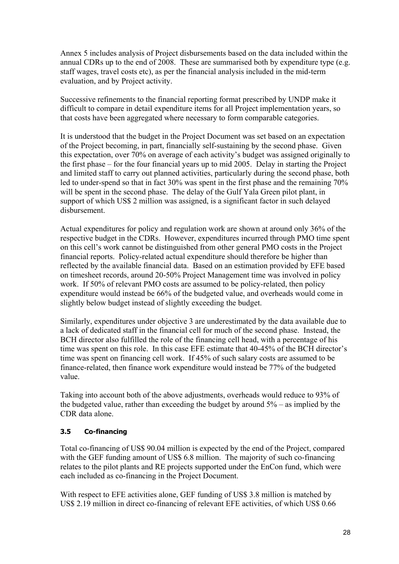Annex 5 includes analysis of Project disbursements based on the data included within the annual CDRs up to the end of 2008. These are summarised both by expenditure type (e.g. staff wages, travel costs etc), as per the financial analysis included in the mid-term evaluation, and by Project activity.

Successive refinements to the financial reporting format prescribed by UNDP make it difficult to compare in detail expenditure items for all Project implementation years, so that costs have been aggregated where necessary to form comparable categories.

It is understood that the budget in the Project Document was set based on an expectation of the Project becoming, in part, financially self-sustaining by the second phase. Given this expectation, over 70% on average of each activity's budget was assigned originally to the first phase – for the four financial years up to mid 2005. Delay in starting the Project and limited staff to carry out planned activities, particularly during the second phase, both led to under-spend so that in fact 30% was spent in the first phase and the remaining 70% will be spent in the second phase. The delay of the Gulf Yala Green pilot plant, in support of which US\$ 2 million was assigned, is a significant factor in such delayed disbursement.

Actual expenditures for policy and regulation work are shown at around only 36% of the respective budget in the CDRs. However, expenditures incurred through PMO time spent on this cell's work cannot be distinguished from other general PMO costs in the Project financial reports. Policy-related actual expenditure should therefore be higher than reflected by the available financial data. Based on an estimation provided by EFE based on timesheet records, around 20-50% Project Management time was involved in policy work. If 50% of relevant PMO costs are assumed to be policy-related, then policy expenditure would instead be 66% of the budgeted value, and overheads would come in slightly below budget instead of slightly exceeding the budget.

Similarly, expenditures under objective 3 are underestimated by the data available due to a lack of dedicated staff in the financial cell for much of the second phase. Instead, the BCH director also fulfilled the role of the financing cell head, with a percentage of his time was spent on this role. In this case EFE estimate that 40-45% of the BCH director's time was spent on financing cell work. If 45% of such salary costs are assumed to be finance-related, then finance work expenditure would instead be 77% of the budgeted value.

Taking into account both of the above adjustments, overheads would reduce to 93% of the budgeted value, rather than exceeding the budget by around 5% – as implied by the CDR data alone.

## **3.5 Co-financing**

Total co-financing of US\$ 90.04 million is expected by the end of the Project, compared with the GEF funding amount of US\$ 6.8 million. The majority of such co-financing relates to the pilot plants and RE projects supported under the EnCon fund, which were each included as co-financing in the Project Document.

With respect to EFE activities alone, GEF funding of US\$ 3.8 million is matched by US\$ 2.19 million in direct co-financing of relevant EFE activities, of which US\$ 0.66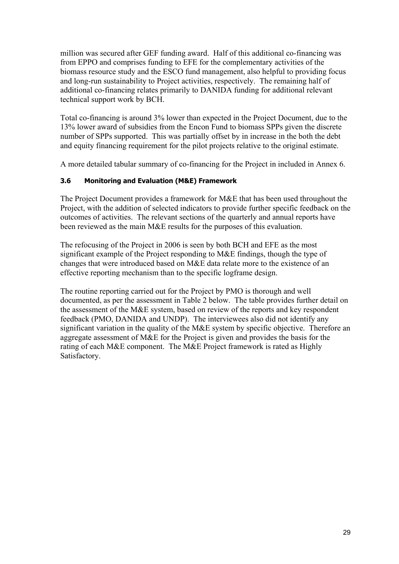million was secured after GEF funding award. Half of this additional co-financing was from EPPO and comprises funding to EFE for the complementary activities of the biomass resource study and the ESCO fund management, also helpful to providing focus and long-run sustainability to Project activities, respectively. The remaining half of additional co-financing relates primarily to DANIDA funding for additional relevant technical support work by BCH.

Total co-financing is around 3% lower than expected in the Project Document, due to the 13% lower award of subsidies from the Encon Fund to biomass SPPs given the discrete number of SPPs supported. This was partially offset by in increase in the both the debt and equity financing requirement for the pilot projects relative to the original estimate.

A more detailed tabular summary of co-financing for the Project in included in Annex 6.

## **3.6 Monitoring and Evaluation (M&E) Framework**

The Project Document provides a framework for M&E that has been used throughout the Project, with the addition of selected indicators to provide further specific feedback on the outcomes of activities. The relevant sections of the quarterly and annual reports have been reviewed as the main M&E results for the purposes of this evaluation.

The refocusing of the Project in 2006 is seen by both BCH and EFE as the most significant example of the Project responding to M&E findings, though the type of changes that were introduced based on M&E data relate more to the existence of an effective reporting mechanism than to the specific logframe design.

The routine reporting carried out for the Project by PMO is thorough and well documented, as per the assessment in Table 2 below. The table provides further detail on the assessment of the M&E system, based on review of the reports and key respondent feedback (PMO, DANIDA and UNDP). The interviewees also did not identify any significant variation in the quality of the M&E system by specific objective. Therefore an aggregate assessment of M&E for the Project is given and provides the basis for the rating of each M&E component. The M&E Project framework is rated as Highly Satisfactory.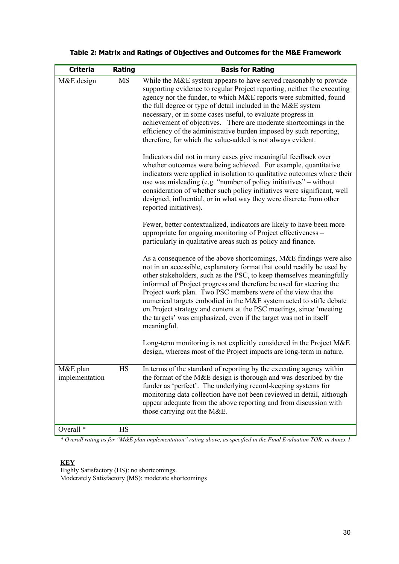| <b>Criteria</b>            | Rating | <b>Basis for Rating</b>                                                                                                                                                                                                                                                                                                                                                                                                                                                                                                                                                                       |
|----------------------------|--------|-----------------------------------------------------------------------------------------------------------------------------------------------------------------------------------------------------------------------------------------------------------------------------------------------------------------------------------------------------------------------------------------------------------------------------------------------------------------------------------------------------------------------------------------------------------------------------------------------|
| M&E design                 | MS     | While the M&E system appears to have served reasonably to provide<br>supporting evidence to regular Project reporting, neither the executing<br>agency nor the funder, to which M&E reports were submitted, found<br>the full degree or type of detail included in the M&E system<br>necessary, or in some cases useful, to evaluate progress in<br>achievement of objectives. There are moderate shortcomings in the<br>efficiency of the administrative burden imposed by such reporting,<br>therefore, for which the value-added is not always evident.                                    |
|                            |        | Indicators did not in many cases give meaningful feedback over<br>whether outcomes were being achieved. For example, quantitative<br>indicators were applied in isolation to qualitative outcomes where their<br>use was misleading (e.g. "number of policy initiatives" – without<br>consideration of whether such policy initiatives were significant, well<br>designed, influential, or in what way they were discrete from other<br>reported initiatives).                                                                                                                                |
|                            |        | Fewer, better contextualized, indicators are likely to have been more<br>appropriate for ongoing monitoring of Project effectiveness -<br>particularly in qualitative areas such as policy and finance.                                                                                                                                                                                                                                                                                                                                                                                       |
|                            |        | As a consequence of the above shortcomings, M&E findings were also<br>not in an accessible, explanatory format that could readily be used by<br>other stakeholders, such as the PSC, to keep themselves meaningfully<br>informed of Project progress and therefore be used for steering the<br>Project work plan. Two PSC members were of the view that the<br>numerical targets embodied in the M&E system acted to stifle debate<br>on Project strategy and content at the PSC meetings, since 'meeting<br>the targets' was emphasized, even if the target was not in itself<br>meaningful. |
|                            |        | Long-term monitoring is not explicitly considered in the Project M&E<br>design, whereas most of the Project impacts are long-term in nature.                                                                                                                                                                                                                                                                                                                                                                                                                                                  |
| M&E plan<br>implementation | HS     | In terms of the standard of reporting by the executing agency within<br>the format of the M&E design is thorough and was described by the<br>funder as 'perfect'. The underlying record-keeping systems for<br>monitoring data collection have not been reviewed in detail, although<br>appear adequate from the above reporting and from discussion with<br>those carrying out the M&E.                                                                                                                                                                                                      |
| Overall <sup>*</sup>       | HS     |                                                                                                                                                                                                                                                                                                                                                                                                                                                                                                                                                                                               |

# **Table 2: Matrix and Ratings of Objectives and Outcomes for the M&E Framework**

*\* Overall rating as for "M&E plan implementation" rating above, as specified in the Final Evaluation TOR, in Annex 1*

## **KEY**

Highly Satisfactory (HS): no shortcomings. Moderately Satisfactory (MS): moderate shortcomings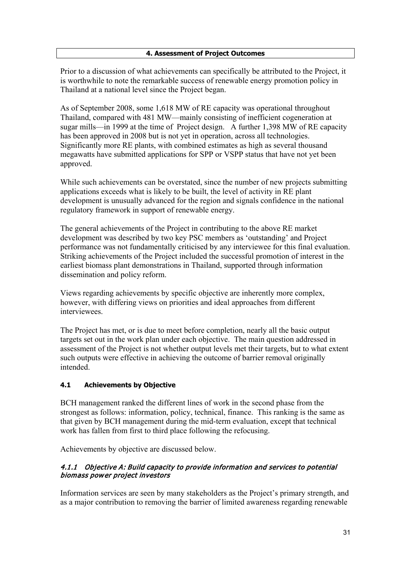## **4. Assessment of Project Outcomes**

Prior to a discussion of what achievements can specifically be attributed to the Project, it is worthwhile to note the remarkable success of renewable energy promotion policy in Thailand at a national level since the Project began.

As of September 2008, some 1,618 MW of RE capacity was operational throughout Thailand, compared with 481 MW—mainly consisting of inefficient cogeneration at sugar mills—in 1999 at the time of Project design. A further 1,398 MW of RE capacity has been approved in 2008 but is not yet in operation, across all technologies. Significantly more RE plants, with combined estimates as high as several thousand megawatts have submitted applications for SPP or VSPP status that have not yet been approved.

While such achievements can be overstated, since the number of new projects submitting applications exceeds what is likely to be built, the level of activity in RE plant development is unusually advanced for the region and signals confidence in the national regulatory framework in support of renewable energy.

The general achievements of the Project in contributing to the above RE market development was described by two key PSC members as 'outstanding' and Project performance was not fundamentally criticised by any interviewee for this final evaluation. Striking achievements of the Project included the successful promotion of interest in the earliest biomass plant demonstrations in Thailand, supported through information dissemination and policy reform.

Views regarding achievements by specific objective are inherently more complex, however, with differing views on priorities and ideal approaches from different interviewees.

The Project has met, or is due to meet before completion, nearly all the basic output targets set out in the work plan under each objective. The main question addressed in assessment of the Project is not whether output levels met their targets, but to what extent such outputs were effective in achieving the outcome of barrier removal originally intended.

## **4.1 Achievements by Objective**

BCH management ranked the different lines of work in the second phase from the strongest as follows: information, policy, technical, finance. This ranking is the same as that given by BCH management during the mid-term evaluation, except that technical work has fallen from first to third place following the refocusing.

Achievements by objective are discussed below.

## 4.1.1 Objective A: Build capacity to provide information and services to potential biomass power project investors

Information services are seen by many stakeholders as the Project's primary strength, and as a major contribution to removing the barrier of limited awareness regarding renewable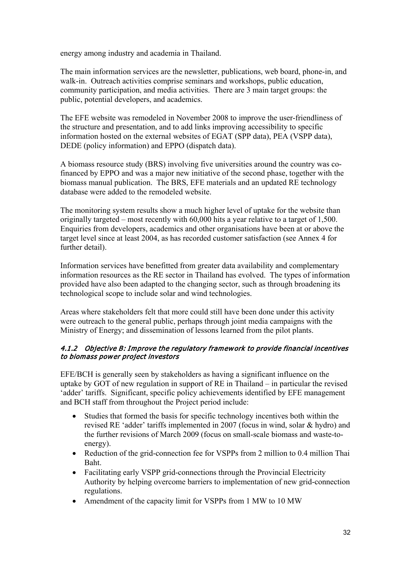energy among industry and academia in Thailand.

The main information services are the newsletter, publications, web board, phone-in, and walk-in. Outreach activities comprise seminars and workshops, public education, community participation, and media activities. There are 3 main target groups: the public, potential developers, and academics.

The EFE website was remodeled in November 2008 to improve the user-friendliness of the structure and presentation, and to add links improving accessibility to specific information hosted on the external websites of EGAT (SPP data), PEA (VSPP data), DEDE (policy information) and EPPO (dispatch data).

A biomass resource study (BRS) involving five universities around the country was cofinanced by EPPO and was a major new initiative of the second phase, together with the biomass manual publication. The BRS, EFE materials and an updated RE technology database were added to the remodeled website.

The monitoring system results show a much higher level of uptake for the website than originally targeted – most recently with 60,000 hits a year relative to a target of 1,500. Enquiries from developers, academics and other organisations have been at or above the target level since at least 2004, as has recorded customer satisfaction (see Annex 4 for further detail).

Information services have benefitted from greater data availability and complementary information resources as the RE sector in Thailand has evolved. The types of information provided have also been adapted to the changing sector, such as through broadening its technological scope to include solar and wind technologies.

Areas where stakeholders felt that more could still have been done under this activity were outreach to the general public, perhaps through joint media campaigns with the Ministry of Energy; and dissemination of lessons learned from the pilot plants.

## 4.1.2 Objective B: Improve the regulatory framework to provide financial incentives to biomass power project investors

EFE/BCH is generally seen by stakeholders as having a significant influence on the uptake by GOT of new regulation in support of RE in Thailand – in particular the revised 'adder' tariffs. Significant, specific policy achievements identified by EFE management and BCH staff from throughout the Project period include:

- Studies that formed the basis for specific technology incentives both within the revised RE 'adder' tariffs implemented in 2007 (focus in wind, solar & hydro) and the further revisions of March 2009 (focus on small-scale biomass and waste-toenergy).
- Reduction of the grid-connection fee for VSPPs from 2 million to 0.4 million Thai Baht.
- Facilitating early VSPP grid-connections through the Provincial Electricity Authority by helping overcome barriers to implementation of new grid-connection regulations.
- Amendment of the capacity limit for VSPPs from 1 MW to 10 MW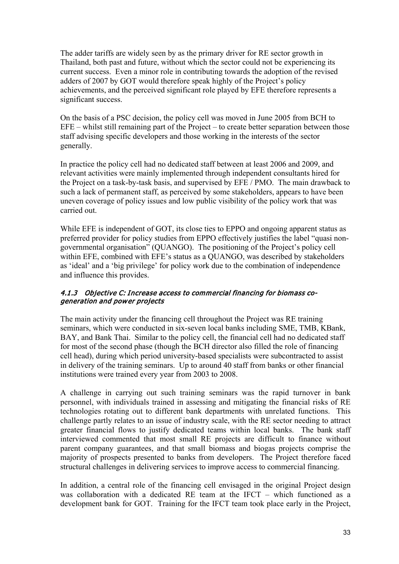The adder tariffs are widely seen by as the primary driver for RE sector growth in Thailand, both past and future, without which the sector could not be experiencing its current success. Even a minor role in contributing towards the adoption of the revised adders of 2007 by GOT would therefore speak highly of the Project's policy achievements, and the perceived significant role played by EFE therefore represents a significant success.

On the basis of a PSC decision, the policy cell was moved in June 2005 from BCH to EFE – whilst still remaining part of the Project – to create better separation between those staff advising specific developers and those working in the interests of the sector generally.

In practice the policy cell had no dedicated staff between at least 2006 and 2009, and relevant activities were mainly implemented through independent consultants hired for the Project on a task-by-task basis, and supervised by EFE / PMO. The main drawback to such a lack of permanent staff, as perceived by some stakeholders, appears to have been uneven coverage of policy issues and low public visibility of the policy work that was carried out.

While EFE is independent of GOT, its close ties to EPPO and ongoing apparent status as preferred provider for policy studies from EPPO effectively justifies the label "quasi nongovernmental organisation" (QUANGO). The positioning of the Project's policy cell within EFE, combined with EFE's status as a QUANGO, was described by stakeholders as 'ideal' and a 'big privilege' for policy work due to the combination of independence and influence this provides.

## 4.1.3 Objective C: Increase access to commercial financing for biomass cogeneration and power projects

The main activity under the financing cell throughout the Project was RE training seminars, which were conducted in six-seven local banks including SME, TMB, KBank, BAY, and Bank Thai. Similar to the policy cell, the financial cell had no dedicated staff for most of the second phase (though the BCH director also filled the role of financing cell head), during which period university-based specialists were subcontracted to assist in delivery of the training seminars. Up to around 40 staff from banks or other financial institutions were trained every year from 2003 to 2008.

A challenge in carrying out such training seminars was the rapid turnover in bank personnel, with individuals trained in assessing and mitigating the financial risks of RE technologies rotating out to different bank departments with unrelated functions. This challenge partly relates to an issue of industry scale, with the RE sector needing to attract greater financial flows to justify dedicated teams within local banks. The bank staff interviewed commented that most small RE projects are difficult to finance without parent company guarantees, and that small biomass and biogas projects comprise the majority of prospects presented to banks from developers. The Project therefore faced structural challenges in delivering services to improve access to commercial financing.

In addition, a central role of the financing cell envisaged in the original Project design was collaboration with a dedicated RE team at the IFCT – which functioned as a development bank for GOT. Training for the IFCT team took place early in the Project,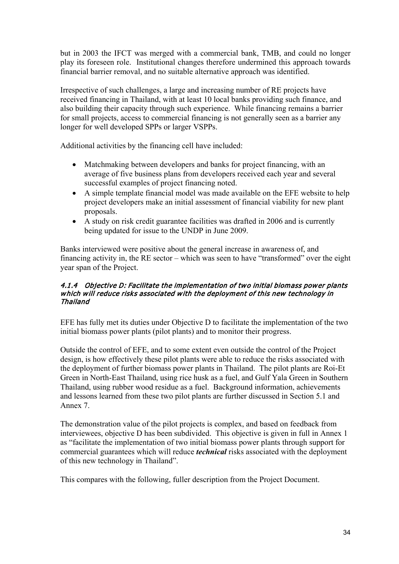but in 2003 the IFCT was merged with a commercial bank, TMB, and could no longer play its foreseen role. Institutional changes therefore undermined this approach towards financial barrier removal, and no suitable alternative approach was identified.

Irrespective of such challenges, a large and increasing number of RE projects have received financing in Thailand, with at least 10 local banks providing such finance, and also building their capacity through such experience. While financing remains a barrier for small projects, access to commercial financing is not generally seen as a barrier any longer for well developed SPPs or larger VSPPs.

Additional activities by the financing cell have included:

- Matchmaking between developers and banks for project financing, with an average of five business plans from developers received each year and several successful examples of project financing noted.
- A simple template financial model was made available on the EFE website to help project developers make an initial assessment of financial viability for new plant proposals.
- A study on risk credit guarantee facilities was drafted in 2006 and is currently being updated for issue to the UNDP in June 2009.

Banks interviewed were positive about the general increase in awareness of, and financing activity in, the RE sector – which was seen to have "transformed" over the eight year span of the Project.

## 4.1.4 Objective D: Facilitate the implementation of two initial biomass power plants which will reduce risks associated with the deployment of this new technology in Thailand

EFE has fully met its duties under Objective D to facilitate the implementation of the two initial biomass power plants (pilot plants) and to monitor their progress.

Outside the control of EFE, and to some extent even outside the control of the Project design, is how effectively these pilot plants were able to reduce the risks associated with the deployment of further biomass power plants in Thailand. The pilot plants are Roi-Et Green in North-East Thailand, using rice husk as a fuel, and Gulf Yala Green in Southern Thailand, using rubber wood residue as a fuel. Background information, achievements and lessons learned from these two pilot plants are further discussed in Section 5.1 and Annex 7.

The demonstration value of the pilot projects is complex, and based on feedback from interviewees, objective D has been subdivided. This objective is given in full in Annex 1 as "facilitate the implementation of two initial biomass power plants through support for commercial guarantees which will reduce *technical* risks associated with the deployment of this new technology in Thailand".

This compares with the following, fuller description from the Project Document.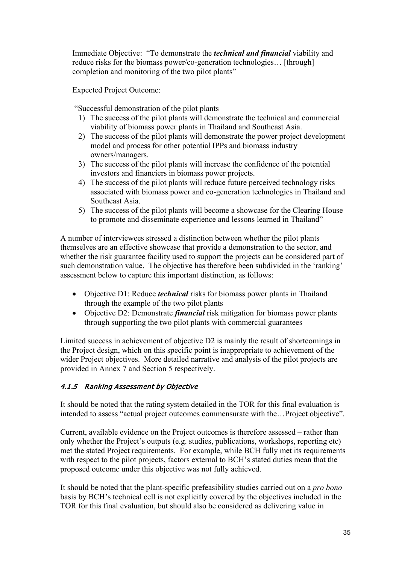Immediate Objective: "To demonstrate the *technical and financial* viability and reduce risks for the biomass power/co-generation technologies… [through] completion and monitoring of the two pilot plants"

Expected Project Outcome:

"Successful demonstration of the pilot plants

- 1) The success of the pilot plants will demonstrate the technical and commercial viability of biomass power plants in Thailand and Southeast Asia.
- 2) The success of the pilot plants will demonstrate the power project development model and process for other potential IPPs and biomass industry owners/managers.
- 3) The success of the pilot plants will increase the confidence of the potential investors and financiers in biomass power projects.
- 4) The success of the pilot plants will reduce future perceived technology risks associated with biomass power and co-generation technologies in Thailand and Southeast Asia.
- 5) The success of the pilot plants will become a showcase for the Clearing House to promote and disseminate experience and lessons learned in Thailand"

A number of interviewees stressed a distinction between whether the pilot plants themselves are an effective showcase that provide a demonstration to the sector, and whether the risk guarantee facility used to support the projects can be considered part of such demonstration value. The objective has therefore been subdivided in the 'ranking' assessment below to capture this important distinction, as follows:

- Objective D1: Reduce *technical* risks for biomass power plants in Thailand through the example of the two pilot plants
- Objective D2: Demonstrate *financial* risk mitigation for biomass power plants through supporting the two pilot plants with commercial guarantees

Limited success in achievement of objective D2 is mainly the result of shortcomings in the Project design, which on this specific point is inappropriate to achievement of the wider Project objectives. More detailed narrative and analysis of the pilot projects are provided in Annex 7 and Section 5 respectively.

# 4.1.5 Ranking Assessment by Objective

It should be noted that the rating system detailed in the TOR for this final evaluation is intended to assess "actual project outcomes commensurate with the…Project objective".

Current, available evidence on the Project outcomes is therefore assessed – rather than only whether the Project's outputs (e.g. studies, publications, workshops, reporting etc) met the stated Project requirements. For example, while BCH fully met its requirements with respect to the pilot projects, factors external to BCH's stated duties mean that the proposed outcome under this objective was not fully achieved.

It should be noted that the plant-specific prefeasibility studies carried out on a *pro bono* basis by BCH's technical cell is not explicitly covered by the objectives included in the TOR for this final evaluation, but should also be considered as delivering value in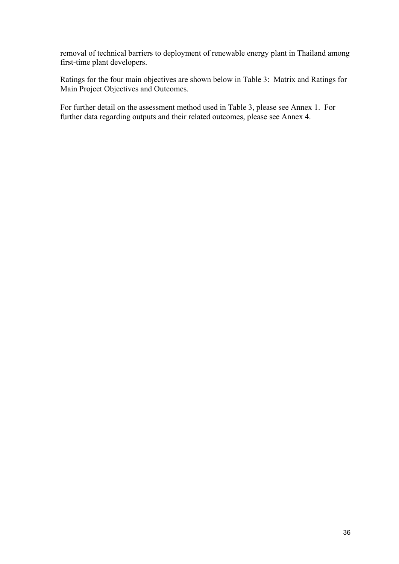removal of technical barriers to deployment of renewable energy plant in Thailand among first-time plant developers.

Ratings for the four main objectives are shown below in Table 3: Matrix and Ratings for Main Project Objectives and Outcomes.

For further detail on the assessment method used in Table 3, please see Annex 1. For further data regarding outputs and their related outcomes, please see Annex 4.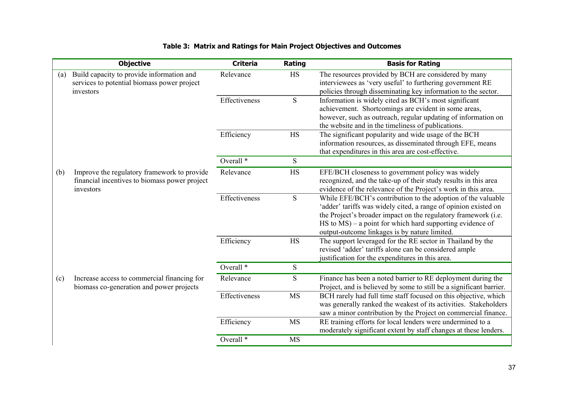|                                                                                                                  | <b>Objective</b> | <b>Criteria</b>      | Rating                                                                                                                                                                                | <b>Basis for Rating</b>                                                                                                                                                                                                                                                                                              |  |
|------------------------------------------------------------------------------------------------------------------|------------------|----------------------|---------------------------------------------------------------------------------------------------------------------------------------------------------------------------------------|----------------------------------------------------------------------------------------------------------------------------------------------------------------------------------------------------------------------------------------------------------------------------------------------------------------------|--|
| Build capacity to provide information and<br>(a)<br>services to potential biomass power project<br>investors     |                  | Relevance            | <b>HS</b>                                                                                                                                                                             | The resources provided by BCH are considered by many<br>interviewees as 'very useful' to furthering government RE<br>policies through disseminating key information to the sector.                                                                                                                                   |  |
|                                                                                                                  |                  | Effectiveness        | ${\bf S}$                                                                                                                                                                             | Information is widely cited as BCH's most significant<br>achievement. Shortcomings are evident in some areas,<br>however, such as outreach, regular updating of information on<br>the website and in the timeliness of publications.                                                                                 |  |
|                                                                                                                  |                  | Efficiency           | HS                                                                                                                                                                                    | The significant popularity and wide usage of the BCH<br>information resources, as disseminated through EFE, means<br>that expenditures in this area are cost-effective.                                                                                                                                              |  |
|                                                                                                                  |                  | Overall <sup>*</sup> | S                                                                                                                                                                                     |                                                                                                                                                                                                                                                                                                                      |  |
| (b)<br>Improve the regulatory framework to provide<br>financial incentives to biomass power project<br>investors | Relevance        | <b>HS</b>            | EFE/BCH closeness to government policy was widely<br>recognized, and the take-up of their study results in this area<br>evidence of the relevance of the Project's work in this area. |                                                                                                                                                                                                                                                                                                                      |  |
|                                                                                                                  |                  | Effectiveness        | ${\bf S}$                                                                                                                                                                             | While EFE/BCH's contribution to the adoption of the valuable<br>'adder' tariffs was widely cited, a range of opinion existed on<br>the Project's broader impact on the regulatory framework (i.e.<br>$HS$ to $MS$ ) – a point for which hard supporting evidence of<br>output-outcome linkages is by nature limited. |  |
|                                                                                                                  |                  | Efficiency           | <b>HS</b>                                                                                                                                                                             | The support leveraged for the RE sector in Thailand by the<br>revised 'adder' tariffs alone can be considered ample<br>justification for the expenditures in this area.                                                                                                                                              |  |
|                                                                                                                  |                  | Overall <sup>*</sup> | ${\bf S}$                                                                                                                                                                             |                                                                                                                                                                                                                                                                                                                      |  |
| Increase access to commercial financing for<br>(c)<br>biomass co-generation and power projects                   |                  | Relevance            | ${\bf S}$                                                                                                                                                                             | Finance has been a noted barrier to RE deployment during the<br>Project, and is believed by some to still be a significant barrier.                                                                                                                                                                                  |  |
|                                                                                                                  |                  | Effectiveness        | <b>MS</b>                                                                                                                                                                             | BCH rarely had full time staff focused on this objective, which<br>was generally ranked the weakest of its activities. Stakeholders<br>saw a minor contribution by the Project on commercial finance.                                                                                                                |  |
|                                                                                                                  |                  | Efficiency           | <b>MS</b>                                                                                                                                                                             | RE training efforts for local lenders were undermined to a<br>moderately significant extent by staff changes at these lenders.                                                                                                                                                                                       |  |
|                                                                                                                  |                  | Overall <sup>*</sup> | <b>MS</b>                                                                                                                                                                             |                                                                                                                                                                                                                                                                                                                      |  |

# **Table 3: Matrix and Ratings for Main Project Objectives and Outcomes**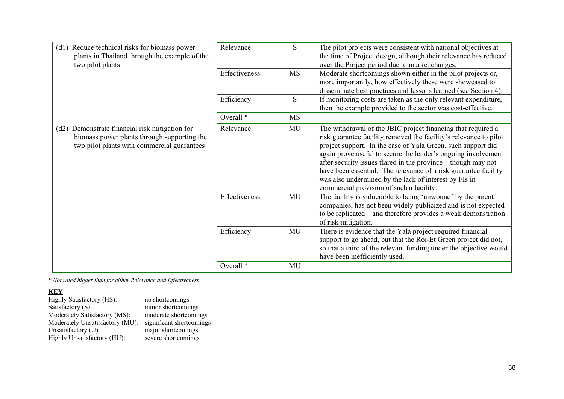| (d1) Reduce technical risks for biomass power<br>plants in Thailand through the example of the<br>two pilot plants                           | Relevance            | <sub>S</sub> | The pilot projects were consistent with national objectives at<br>the time of Project design, although their relevance has reduced<br>over the Project period due to market changes.                                                                                                                                                                                                                                                                                                                        |
|----------------------------------------------------------------------------------------------------------------------------------------------|----------------------|--------------|-------------------------------------------------------------------------------------------------------------------------------------------------------------------------------------------------------------------------------------------------------------------------------------------------------------------------------------------------------------------------------------------------------------------------------------------------------------------------------------------------------------|
|                                                                                                                                              | Effectiveness        | <b>MS</b>    | Moderate shortcomings shown either in the pilot projects or,<br>more importantly, how effectively these were showcased to<br>disseminate best practices and lessons learned (see Section 4).                                                                                                                                                                                                                                                                                                                |
|                                                                                                                                              | Efficiency           | S            | If monitoring costs are taken as the only relevant expenditure,<br>then the example provided to the sector was cost-effective.                                                                                                                                                                                                                                                                                                                                                                              |
|                                                                                                                                              | Overall <sup>*</sup> | <b>MS</b>    |                                                                                                                                                                                                                                                                                                                                                                                                                                                                                                             |
| (d2) Demonstrate financial risk mitigation for<br>biomass power plants through supporting the<br>two pilot plants with commercial guarantees | Relevance            | MU           | The withdrawal of the JBIC project financing that required a<br>risk guarantee facility removed the facility's relevance to pilot<br>project support. In the case of Yala Green, such support did<br>again prove useful to secure the lender's ongoing involvement<br>after security issues flared in the province – though may not<br>have been essential. The relevance of a risk guarantee facility<br>was also undermined by the lack of interest by FIs in<br>commercial provision of such a facility. |
|                                                                                                                                              | Effectiveness        | MU           | The facility is vulnerable to being 'unwound' by the parent<br>companies, has not been widely publicized and is not expected<br>to be replicated – and therefore provides a weak demonstration<br>of risk mitigation.                                                                                                                                                                                                                                                                                       |
|                                                                                                                                              | Efficiency           | MU           | There is evidence that the Yala project required financial<br>support to go ahead, but that the Roi-Et Green project did not,<br>so that a third of the relevant funding under the objective would<br>have been inefficiently used.                                                                                                                                                                                                                                                                         |
|                                                                                                                                              | Overall <sup>*</sup> | MU           |                                                                                                                                                                                                                                                                                                                                                                                                                                                                                                             |

*\* Not rated higher than for either Relevance and Effectiveness*

**KEY**

Highly Satisfactory (HS): no shortcomings. Satisfactory (S):<br>Satisfactory (S): minor shortcomings<br>Moderately Satisfactory (MS): moderate shortcomings<br>Moderately Unsatisfactory (MU): significant shortcomings Moderately Satisfactory (MS): moderate shortcomings Moderately Unsatisfactory (MU): significant shortcomings Unsatisfactory (U) major shortcomings Highly Unsatisfactory (HU): severe shortcomings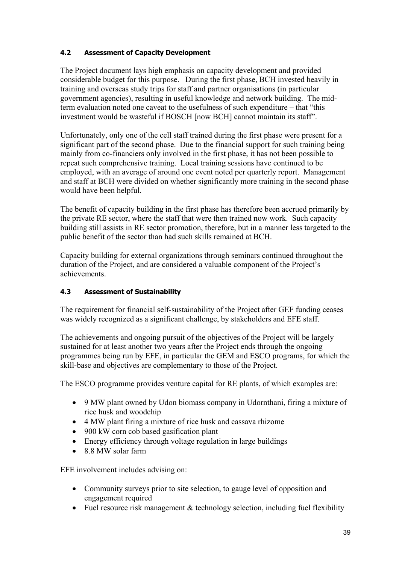# **4.2 Assessment of Capacity Development**

The Project document lays high emphasis on capacity development and provided considerable budget for this purpose. During the first phase, BCH invested heavily in training and overseas study trips for staff and partner organisations (in particular government agencies), resulting in useful knowledge and network building. The midterm evaluation noted one caveat to the usefulness of such expenditure – that "this investment would be wasteful if BOSCH [now BCH] cannot maintain its staff".

Unfortunately, only one of the cell staff trained during the first phase were present for a significant part of the second phase. Due to the financial support for such training being mainly from co-financiers only involved in the first phase, it has not been possible to repeat such comprehensive training. Local training sessions have continued to be employed, with an average of around one event noted per quarterly report. Management and staff at BCH were divided on whether significantly more training in the second phase would have been helpful.

The benefit of capacity building in the first phase has therefore been accrued primarily by the private RE sector, where the staff that were then trained now work. Such capacity building still assists in RE sector promotion, therefore, but in a manner less targeted to the public benefit of the sector than had such skills remained at BCH.

Capacity building for external organizations through seminars continued throughout the duration of the Project, and are considered a valuable component of the Project's achievements.

## **4.3 Assessment of Sustainability**

The requirement for financial self-sustainability of the Project after GEF funding ceases was widely recognized as a significant challenge, by stakeholders and EFE staff.

The achievements and ongoing pursuit of the objectives of the Project will be largely sustained for at least another two years after the Project ends through the ongoing programmes being run by EFE, in particular the GEM and ESCO programs, for which the skill-base and objectives are complementary to those of the Project.

The ESCO programme provides venture capital for RE plants, of which examples are:

- 9 MW plant owned by Udon biomass company in Udornthani, firing a mixture of rice husk and woodchip
- 4 MW plant firing a mixture of rice husk and cassava rhizome
- 900 kW corn cob based gasification plant
- Energy efficiency through voltage regulation in large buildings
- 8.8 MW solar farm

EFE involvement includes advising on:

- Community surveys prior to site selection, to gauge level of opposition and engagement required
- Fuel resource risk management  $&$  technology selection, including fuel flexibility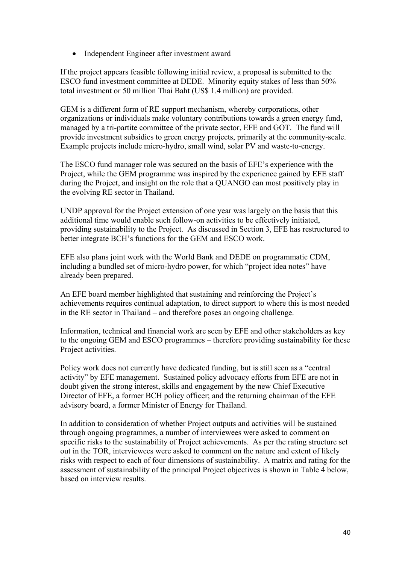• Independent Engineer after investment award

If the project appears feasible following initial review, a proposal is submitted to the ESCO fund investment committee at DEDE. Minority equity stakes of less than 50% total investment or 50 million Thai Baht (US\$ 1.4 million) are provided.

GEM is a different form of RE support mechanism, whereby corporations, other organizations or individuals make voluntary contributions towards a green energy fund, managed by a tri-partite committee of the private sector, EFE and GOT. The fund will provide investment subsidies to green energy projects, primarily at the community-scale. Example projects include micro-hydro, small wind, solar PV and waste-to-energy.

The ESCO fund manager role was secured on the basis of EFE's experience with the Project, while the GEM programme was inspired by the experience gained by EFE staff during the Project, and insight on the role that a QUANGO can most positively play in the evolving RE sector in Thailand.

UNDP approval for the Project extension of one year was largely on the basis that this additional time would enable such follow-on activities to be effectively initiated, providing sustainability to the Project. As discussed in Section 3, EFE has restructured to better integrate BCH's functions for the GEM and ESCO work.

EFE also plans joint work with the World Bank and DEDE on programmatic CDM, including a bundled set of micro-hydro power, for which "project idea notes" have already been prepared.

An EFE board member highlighted that sustaining and reinforcing the Project's achievements requires continual adaptation, to direct support to where this is most needed in the RE sector in Thailand – and therefore poses an ongoing challenge.

Information, technical and financial work are seen by EFE and other stakeholders as key to the ongoing GEM and ESCO programmes – therefore providing sustainability for these Project activities.

Policy work does not currently have dedicated funding, but is still seen as a "central activity" by EFE management. Sustained policy advocacy efforts from EFE are not in doubt given the strong interest, skills and engagement by the new Chief Executive Director of EFE, a former BCH policy officer; and the returning chairman of the EFE advisory board, a former Minister of Energy for Thailand.

In addition to consideration of whether Project outputs and activities will be sustained through ongoing programmes, a number of interviewees were asked to comment on specific risks to the sustainability of Project achievements. As per the rating structure set out in the TOR, interviewees were asked to comment on the nature and extent of likely risks with respect to each of four dimensions of sustainability. A matrix and rating for the assessment of sustainability of the principal Project objectives is shown in Table 4 below, based on interview results.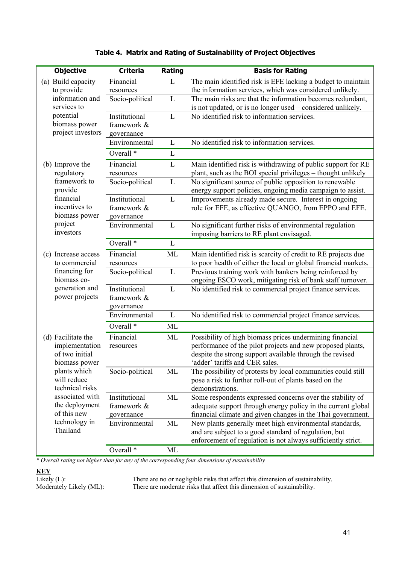| <b>Objective</b>          | <b>Criteria</b>      | Rating       | <b>Basis for Rating</b>                                         |
|---------------------------|----------------------|--------------|-----------------------------------------------------------------|
| (a) Build capacity        | Financial            | L            | The main identified risk is EFE lacking a budget to maintain    |
| to provide                | resources            |              | the information services, which was considered unlikely.        |
| information and           | Socio-political      | L            | The main risks are that the information becomes redundant,      |
| services to               |                      |              | is not updated, or is no longer used - considered unlikely.     |
| potential                 | Institutional        | L            | No identified risk to information services.                     |
| biomass power             | framework &          |              |                                                                 |
| project investors         | governance           |              |                                                                 |
|                           | Environmental        | L            | No identified risk to information services.                     |
|                           | Overall <sup>*</sup> | L            |                                                                 |
| (b) Improve the           | Financial            | L            | Main identified risk is withdrawing of public support for RE    |
| regulatory                | resources            |              | plant, such as the BOI special privileges - thought unlikely    |
| framework to              | Socio-political      | L            | No significant source of public opposition to renewable         |
| provide                   |                      |              | energy support policies, ongoing media campaign to assist.      |
| financial                 | Institutional        | L            | Improvements already made secure. Interest in ongoing           |
| incentives to             | framework &          |              | role for EFE, as effective QUANGO, from EPPO and EFE.           |
| biomass power             | governance           |              |                                                                 |
| project                   | Environmental        | L            | No significant further risks of environmental regulation        |
| investors                 |                      |              | imposing barriers to RE plant envisaged.                        |
|                           | Overall <sup>*</sup> | L            |                                                                 |
| (c) Increase access       | Financial            | <b>ML</b>    | Main identified risk is scarcity of credit to RE projects due   |
| to commercial             | resources            |              | to poor health of either the local or global financial markets. |
| financing for             | Socio-political      | $\mathbf{L}$ | Previous training work with bankers being reinforced by         |
| biomass co-               |                      |              | ongoing ESCO work, mitigating risk of bank staff turnover.      |
| generation and            | Institutional        | L            | No identified risk to commercial project finance services.      |
| power projects            | framework &          |              |                                                                 |
|                           | governance           |              |                                                                 |
|                           | Environmental        | $\mathbf L$  | No identified risk to commercial project finance services.      |
|                           | Overall <sup>*</sup> | ML           |                                                                 |
| (d) Facilitate the        | Financial            | ML           | Possibility of high biomass prices undermining financial        |
| implementation            | resources            |              | performance of the pilot projects and new proposed plants,      |
| of two initial            |                      |              | despite the strong support available through the revised        |
| biomass power             |                      |              | 'adder' tariffs and CER sales.                                  |
| plants which              | Socio-political      | ML           | The possibility of protests by local communities could still    |
| will reduce               |                      |              | pose a risk to further roll-out of plants based on the          |
| technical risks           |                      |              | demonstrations.                                                 |
| associated with           | Institutional        | ML           | Some respondents expressed concerns over the stability of       |
| the deployment            | framework &          |              | adequate support through energy policy in the current global    |
| of this new               | governance           |              | financial climate and given changes in the Thai government.     |
| technology in<br>Thailand | Environmental        | ML           | New plants generally meet high environmental standards,         |
|                           |                      |              | and are subject to a good standard of regulation, but           |
|                           |                      |              | enforcement of regulation is not always sufficiently strict.    |
|                           | Overall <sup>*</sup> | ML           |                                                                 |

# **Table 4. Matrix and Rating of Sustainability of Project Objectives**

*\* Overall rating not higher than for any of the corresponding four dimensions of sustainability*

**KEY**<br>Likely (L):<br>Moderately Likely (ML):

Likely (L): There are no or negligible risks that affect this dimension of sustainability. Moderately Likely (ML): There are moderate risks that affect this dimension of sustainability.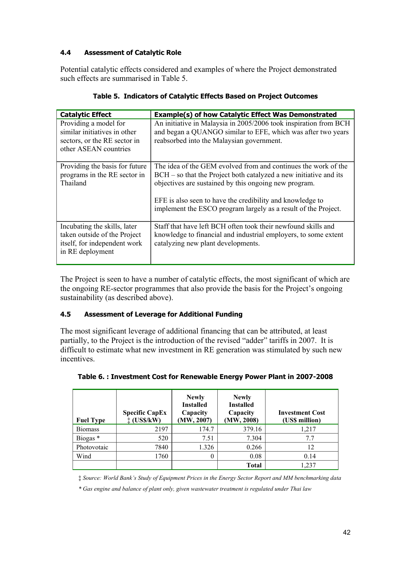# **4.4 Assessment of Catalytic Role**

Potential catalytic effects considered and examples of where the Project demonstrated such effects are summarised in Table 5.

| <b>Catalytic Effect</b>                                                                                          | <b>Example(s) of how Catalytic Effect Was Demonstrated</b>                                                                                                                                                                                                                                                                    |  |  |
|------------------------------------------------------------------------------------------------------------------|-------------------------------------------------------------------------------------------------------------------------------------------------------------------------------------------------------------------------------------------------------------------------------------------------------------------------------|--|--|
| Providing a model for<br>similar initiatives in other<br>sectors, or the RE sector in<br>other ASEAN countries   | An initiative in Malaysia in 2005/2006 took inspiration from BCH<br>and began a QUANGO similar to EFE, which was after two years<br>reabsorbed into the Malaysian government.                                                                                                                                                 |  |  |
| Providing the basis for future<br>programs in the RE sector in<br>Thailand                                       | The idea of the GEM evolved from and continues the work of the<br>$BCH - so$ that the Project both catalyzed a new initiative and its<br>objectives are sustained by this ongoing new program.<br>EFE is also seen to have the credibility and knowledge to<br>implement the ESCO program largely as a result of the Project. |  |  |
| Incubating the skills, later<br>taken outside of the Project<br>itself, for independent work<br>in RE deployment | Staff that have left BCH often took their newfound skills and<br>knowledge to financial and industrial employers, to some extent<br>catalyzing new plant developments.                                                                                                                                                        |  |  |

**Table 5. Indicators of Catalytic Effects Based on Project Outcomes** 

The Project is seen to have a number of catalytic effects, the most significant of which are the ongoing RE-sector programmes that also provide the basis for the Project's ongoing sustainability (as described above).

## **4.5 Assessment of Leverage for Additional Funding**

The most significant leverage of additional financing that can be attributed, at least partially, to the Project is the introduction of the revised "adder" tariffs in 2007. It is difficult to estimate what new investment in RE generation was stimulated by such new incentives.

| <b>Fuel Type</b>    | <b>Specific CapEx</b><br>$\ddagger$ (US\$/kW) | <b>Newly</b><br><b>Installed</b><br>Capacity<br>(MW, 2007) | <b>Newly</b><br><b>Installed</b><br>Capacity<br>(MW, 2008) | <b>Investment Cost</b><br>(US\$ million) |
|---------------------|-----------------------------------------------|------------------------------------------------------------|------------------------------------------------------------|------------------------------------------|
| <b>Biomass</b>      | 2197                                          | 174.7                                                      | 379.16                                                     | 1,217                                    |
| Biogas <sup>*</sup> | 520                                           | 7.51                                                       | 7.304                                                      | 7.7                                      |
| Photovotaic         | 7840                                          | 1.326                                                      | 0.266                                                      | 12                                       |
| Wind                | 1760                                          |                                                            | 0.08                                                       | 0.14                                     |
|                     |                                               |                                                            | Total                                                      | 1,237                                    |

**Table 6. : Investment Cost for Renewable Energy Power Plant in 2007-2008**

‡ *Source: World Bank's Study of Equipment Prices in the Energy Sector Report and MM benchmarking data*

*\* Gas engine and balance of plant only, given wastewater treatment is regulated under Thai law*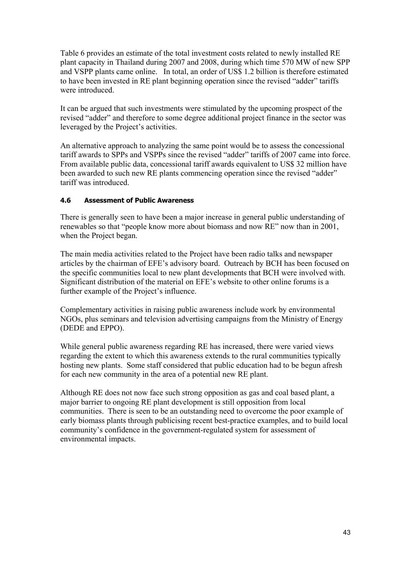Table 6 provides an estimate of the total investment costs related to newly installed RE plant capacity in Thailand during 2007 and 2008, during which time 570 MW of new SPP and VSPP plants came online. In total, an order of US\$ 1.2 billion is therefore estimated to have been invested in RE plant beginning operation since the revised "adder" tariffs were introduced.

It can be argued that such investments were stimulated by the upcoming prospect of the revised "adder" and therefore to some degree additional project finance in the sector was leveraged by the Project's activities.

An alternative approach to analyzing the same point would be to assess the concessional tariff awards to SPPs and VSPPs since the revised "adder" tariffs of 2007 came into force. From available public data, concessional tariff awards equivalent to US\$ 32 million have been awarded to such new RE plants commencing operation since the revised "adder" tariff was introduced.

## **4.6 Assessment of Public Awareness**

There is generally seen to have been a major increase in general public understanding of renewables so that "people know more about biomass and now RE" now than in 2001, when the Project began.

The main media activities related to the Project have been radio talks and newspaper articles by the chairman of EFE's advisory board. Outreach by BCH has been focused on the specific communities local to new plant developments that BCH were involved with. Significant distribution of the material on EFE's website to other online forums is a further example of the Project's influence.

Complementary activities in raising public awareness include work by environmental NGOs, plus seminars and television advertising campaigns from the Ministry of Energy (DEDE and EPPO).

While general public awareness regarding RE has increased, there were varied views regarding the extent to which this awareness extends to the rural communities typically hosting new plants. Some staff considered that public education had to be begun afresh for each new community in the area of a potential new RE plant.

Although RE does not now face such strong opposition as gas and coal based plant, a major barrier to ongoing RE plant development is still opposition from local communities. There is seen to be an outstanding need to overcome the poor example of early biomass plants through publicising recent best-practice examples, and to build local community's confidence in the government-regulated system for assessment of environmental impacts.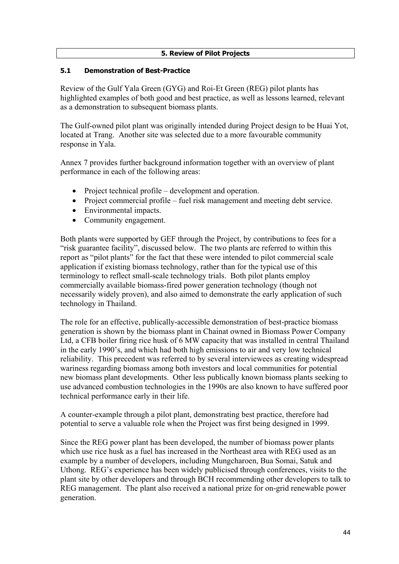## **5. Review of Pilot Projects**

## **5.1 Demonstration of Best-Practice**

Review of the Gulf Yala Green (GYG) and Roi-Et Green (REG) pilot plants has highlighted examples of both good and best practice, as well as lessons learned, relevant as a demonstration to subsequent biomass plants.

The Gulf-owned pilot plant was originally intended during Project design to be Huai Yot, located at Trang. Another site was selected due to a more favourable community response in Yala.

Annex 7 provides further background information together with an overview of plant performance in each of the following areas:

- Project technical profile development and operation.
- Project commercial profile fuel risk management and meeting debt service.
- Environmental impacts.
- Community engagement.

Both plants were supported by GEF through the Project, by contributions to fees for a "risk guarantee facility", discussed below. The two plants are referred to within this report as "pilot plants" for the fact that these were intended to pilot commercial scale application if existing biomass technology, rather than for the typical use of this terminology to reflect small-scale technology trials. Both pilot plants employ commercially available biomass-fired power generation technology (though not necessarily widely proven), and also aimed to demonstrate the early application of such technology in Thailand.

The role for an effective, publically-accessible demonstration of best-practice biomass generation is shown by the biomass plant in Chainat owned in Biomass Power Company Ltd, a CFB boiler firing rice husk of 6 MW capacity that was installed in central Thailand in the early 1990's, and which had both high emissions to air and very low technical reliability. This precedent was referred to by several interviewees as creating widespread wariness regarding biomass among both investors and local communities for potential new biomass plant developments. Other less publically known biomass plants seeking to use advanced combustion technologies in the 1990s are also known to have suffered poor technical performance early in their life.

A counter-example through a pilot plant, demonstrating best practice, therefore had potential to serve a valuable role when the Project was first being designed in 1999.

Since the REG power plant has been developed, the number of biomass power plants which use rice husk as a fuel has increased in the Northeast area with REG used as an example by a number of developers, including Mungcharoen, Bua Somai, Satuk and Uthong. REG's experience has been widely publicised through conferences, visits to the plant site by other developers and through BCH recommending other developers to talk to REG management. The plant also received a national prize for on-grid renewable power generation.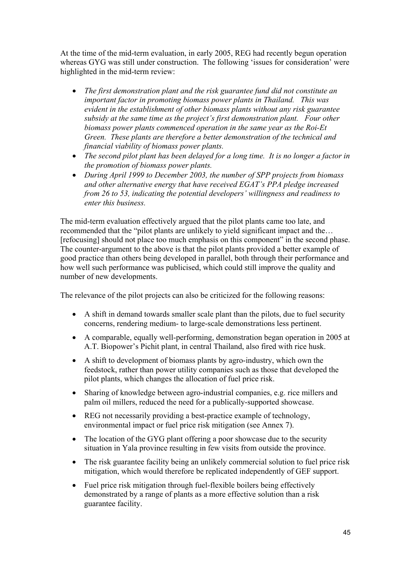At the time of the mid-term evaluation, in early 2005, REG had recently begun operation whereas GYG was still under construction. The following 'issues for consideration' were highlighted in the mid-term review:

- *The first demonstration plant and the risk guarantee fund did not constitute an important factor in promoting biomass power plants in Thailand. This was evident in the establishment of other biomass plants without any risk guarantee subsidy at the same time as the project's first demonstration plant. Four other biomass power plants commenced operation in the same year as the Roi-Et Green. These plants are therefore a better demonstration of the technical and financial viability of biomass power plants.*
- *The second pilot plant has been delayed for a long time. It is no longer a factor in the promotion of biomass power plants.*
- *During April 1999 to December 2003, the number of SPP projects from biomass and other alternative energy that have received EGAT's PPA pledge increased from 26 to 53, indicating the potential developers' willingness and readiness to enter this business.*

The mid-term evaluation effectively argued that the pilot plants came too late, and recommended that the "pilot plants are unlikely to yield significant impact and the… [refocusing] should not place too much emphasis on this component" in the second phase. The counter-argument to the above is that the pilot plants provided a better example of good practice than others being developed in parallel, both through their performance and how well such performance was publicised, which could still improve the quality and number of new developments.

The relevance of the pilot projects can also be criticized for the following reasons:

- A shift in demand towards smaller scale plant than the pilots, due to fuel security concerns, rendering medium- to large-scale demonstrations less pertinent.
- A comparable, equally well-performing, demonstration began operation in 2005 at A.T. Biopower's Pichit plant, in central Thailand, also fired with rice husk.
- A shift to development of biomass plants by agro-industry, which own the feedstock, rather than power utility companies such as those that developed the pilot plants, which changes the allocation of fuel price risk.
- Sharing of knowledge between agro-industrial companies, e.g. rice millers and palm oil millers, reduced the need for a publically-supported showcase.
- REG not necessarily providing a best-practice example of technology, environmental impact or fuel price risk mitigation (see Annex 7).
- The location of the GYG plant offering a poor showcase due to the security situation in Yala province resulting in few visits from outside the province.
- The risk guarantee facility being an unlikely commercial solution to fuel price risk mitigation, which would therefore be replicated independently of GEF support.
- Fuel price risk mitigation through fuel-flexible boilers being effectively demonstrated by a range of plants as a more effective solution than a risk guarantee facility.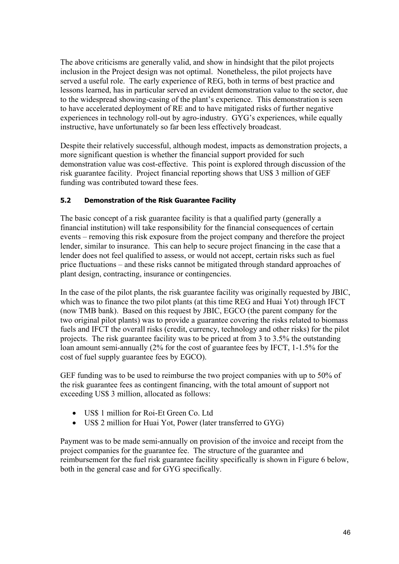The above criticisms are generally valid, and show in hindsight that the pilot projects inclusion in the Project design was not optimal. Nonetheless, the pilot projects have served a useful role. The early experience of REG, both in terms of best practice and lessons learned, has in particular served an evident demonstration value to the sector, due to the widespread showing-casing of the plant's experience. This demonstration is seen to have accelerated deployment of RE and to have mitigated risks of further negative experiences in technology roll-out by agro-industry. GYG's experiences, while equally instructive, have unfortunately so far been less effectively broadcast.

Despite their relatively successful, although modest, impacts as demonstration projects, a more significant question is whether the financial support provided for such demonstration value was cost-effective. This point is explored through discussion of the risk guarantee facility. Project financial reporting shows that US\$ 3 million of GEF funding was contributed toward these fees.

## **5.2 Demonstration of the Risk Guarantee Facility**

The basic concept of a risk guarantee facility is that a qualified party (generally a financial institution) will take responsibility for the financial consequences of certain events – removing this risk exposure from the project company and therefore the project lender, similar to insurance. This can help to secure project financing in the case that a lender does not feel qualified to assess, or would not accept, certain risks such as fuel price fluctuations – and these risks cannot be mitigated through standard approaches of plant design, contracting, insurance or contingencies.

In the case of the pilot plants, the risk guarantee facility was originally requested by JBIC, which was to finance the two pilot plants (at this time REG and Huai Yot) through IFCT (now TMB bank). Based on this request by JBIC, EGCO (the parent company for the two original pilot plants) was to provide a guarantee covering the risks related to biomass fuels and IFCT the overall risks (credit, currency, technology and other risks) for the pilot projects. The risk guarantee facility was to be priced at from 3 to 3.5% the outstanding loan amount semi-annually (2% for the cost of guarantee fees by IFCT, 1-1.5% for the cost of fuel supply guarantee fees by EGCO).

GEF funding was to be used to reimburse the two project companies with up to 50% of the risk guarantee fees as contingent financing, with the total amount of support not exceeding US\$ 3 million, allocated as follows:

- US\$ 1 million for Roi-Et Green Co. Ltd
- US\$ 2 million for Huai Yot, Power (later transferred to GYG)

Payment was to be made semi-annually on provision of the invoice and receipt from the project companies for the guarantee fee. The structure of the guarantee and reimbursement for the fuel risk guarantee facility specifically is shown in Figure 6 below, both in the general case and for GYG specifically.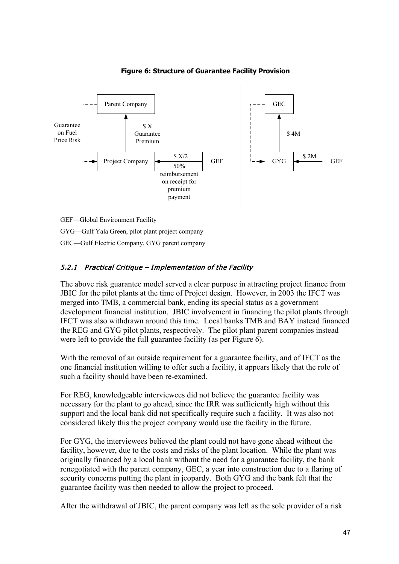

#### **Figure 6: Structure of Guarantee Facility Provision**

GEC—Gulf Electric Company, GYG parent company

## 5.2.1 Practical Critique – Implementation of the Facility

The above risk guarantee model served a clear purpose in attracting project finance from JBIC for the pilot plants at the time of Project design. However, in 2003 the IFCT was merged into TMB, a commercial bank, ending its special status as a government development financial institution. JBIC involvement in financing the pilot plants through IFCT was also withdrawn around this time. Local banks TMB and BAY instead financed the REG and GYG pilot plants, respectively. The pilot plant parent companies instead were left to provide the full guarantee facility (as per Figure 6).

With the removal of an outside requirement for a guarantee facility, and of IFCT as the one financial institution willing to offer such a facility, it appears likely that the role of such a facility should have been re-examined.

For REG, knowledgeable interviewees did not believe the guarantee facility was necessary for the plant to go ahead, since the IRR was sufficiently high without this support and the local bank did not specifically require such a facility. It was also not considered likely this the project company would use the facility in the future.

For GYG, the interviewees believed the plant could not have gone ahead without the facility, however, due to the costs and risks of the plant location. While the plant was originally financed by a local bank without the need for a guarantee facility, the bank renegotiated with the parent company, GEC, a year into construction due to a flaring of security concerns putting the plant in jeopardy. Both GYG and the bank felt that the guarantee facility was then needed to allow the project to proceed.

After the withdrawal of JBIC, the parent company was left as the sole provider of a risk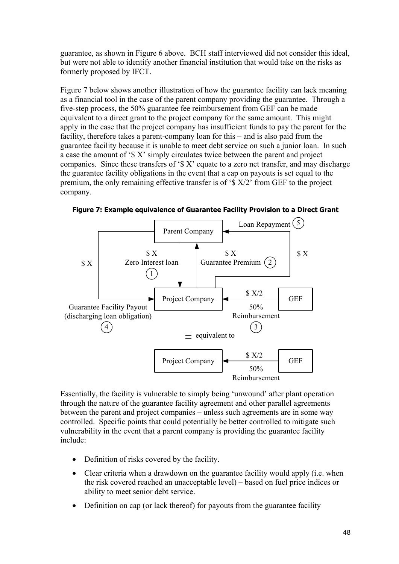guarantee, as shown in Figure 6 above. BCH staff interviewed did not consider this ideal, but were not able to identify another financial institution that would take on the risks as formerly proposed by IFCT.

Figure 7 below shows another illustration of how the guarantee facility can lack meaning as a financial tool in the case of the parent company providing the guarantee. Through a five-step process, the 50% guarantee fee reimbursement from GEF can be made equivalent to a direct grant to the project company for the same amount. This might apply in the case that the project company has insufficient funds to pay the parent for the facility, therefore takes a parent-company loan for this – and is also paid from the guarantee facility because it is unable to meet debt service on such a junior loan. In such a case the amount of '\$ X' simply circulates twice between the parent and project companies. Since these transfers of  $\mathcal{S}$  X' equate to a zero net transfer, and may discharge the guarantee facility obligations in the event that a cap on payouts is set equal to the premium, the only remaining effective transfer is of '\$ X/2' from GEF to the project company.



**Figure 7: Example equivalence of Guarantee Facility Provision to a Direct Grant**

Essentially, the facility is vulnerable to simply being 'unwound' after plant operation through the nature of the guarantee facility agreement and other parallel agreements between the parent and project companies – unless such agreements are in some way controlled. Specific points that could potentially be better controlled to mitigate such vulnerability in the event that a parent company is providing the guarantee facility include:

- Definition of risks covered by the facility.
- Clear criteria when a drawdown on the guarantee facility would apply (i.e. when the risk covered reached an unacceptable level) – based on fuel price indices or ability to meet senior debt service.
- Definition on cap (or lack thereof) for payouts from the guarantee facility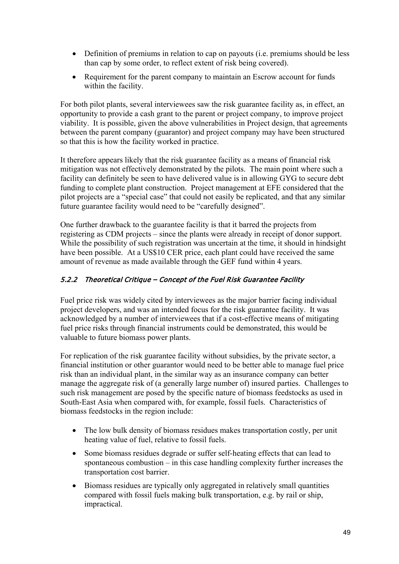- Definition of premiums in relation to cap on payouts (i.e. premiums should be less than cap by some order, to reflect extent of risk being covered).
- Requirement for the parent company to maintain an Escrow account for funds within the facility.

For both pilot plants, several interviewees saw the risk guarantee facility as, in effect, an opportunity to provide a cash grant to the parent or project company, to improve project viability. It is possible, given the above vulnerabilities in Project design, that agreements between the parent company (guarantor) and project company may have been structured so that this is how the facility worked in practice.

It therefore appears likely that the risk guarantee facility as a means of financial risk mitigation was not effectively demonstrated by the pilots. The main point where such a facility can definitely be seen to have delivered value is in allowing GYG to secure debt funding to complete plant construction. Project management at EFE considered that the pilot projects are a "special case" that could not easily be replicated, and that any similar future guarantee facility would need to be "carefully designed".

One further drawback to the guarantee facility is that it barred the projects from registering as CDM projects – since the plants were already in receipt of donor support. While the possibility of such registration was uncertain at the time, it should in hindsight have been possible. At a US\$10 CER price, each plant could have received the same amount of revenue as made available through the GEF fund within 4 years.

# 5.2.2 Theoretical Critique – Concept of the Fuel Risk Guarantee Facility

Fuel price risk was widely cited by interviewees as the major barrier facing individual project developers, and was an intended focus for the risk guarantee facility. It was acknowledged by a number of interviewees that if a cost-effective means of mitigating fuel price risks through financial instruments could be demonstrated, this would be valuable to future biomass power plants.

For replication of the risk guarantee facility without subsidies, by the private sector, a financial institution or other guarantor would need to be better able to manage fuel price risk than an individual plant, in the similar way as an insurance company can better manage the aggregate risk of (a generally large number of) insured parties. Challenges to such risk management are posed by the specific nature of biomass feedstocks as used in South-East Asia when compared with, for example, fossil fuels. Characteristics of biomass feedstocks in the region include:

- The low bulk density of biomass residues makes transportation costly, per unit heating value of fuel, relative to fossil fuels.
- Some biomass residues degrade or suffer self-heating effects that can lead to spontaneous combustion – in this case handling complexity further increases the transportation cost barrier.
- Biomass residues are typically only aggregated in relatively small quantities compared with fossil fuels making bulk transportation, e.g. by rail or ship, impractical.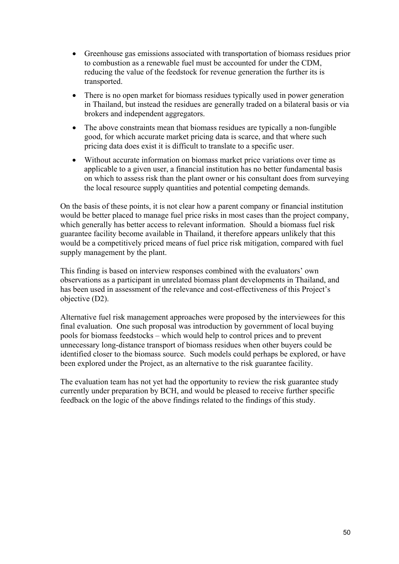- Greenhouse gas emissions associated with transportation of biomass residues prior to combustion as a renewable fuel must be accounted for under the CDM, reducing the value of the feedstock for revenue generation the further its is transported.
- There is no open market for biomass residues typically used in power generation in Thailand, but instead the residues are generally traded on a bilateral basis or via brokers and independent aggregators.
- The above constraints mean that biomass residues are typically a non-fungible good, for which accurate market pricing data is scarce, and that where such pricing data does exist it is difficult to translate to a specific user.
- Without accurate information on biomass market price variations over time as applicable to a given user, a financial institution has no better fundamental basis on which to assess risk than the plant owner or his consultant does from surveying the local resource supply quantities and potential competing demands.

On the basis of these points, it is not clear how a parent company or financial institution would be better placed to manage fuel price risks in most cases than the project company, which generally has better access to relevant information. Should a biomass fuel risk guarantee facility become available in Thailand, it therefore appears unlikely that this would be a competitively priced means of fuel price risk mitigation, compared with fuel supply management by the plant.

This finding is based on interview responses combined with the evaluators' own observations as a participant in unrelated biomass plant developments in Thailand, and has been used in assessment of the relevance and cost-effectiveness of this Project's objective (D2).

Alternative fuel risk management approaches were proposed by the interviewees for this final evaluation. One such proposal was introduction by government of local buying pools for biomass feedstocks – which would help to control prices and to prevent unnecessary long-distance transport of biomass residues when other buyers could be identified closer to the biomass source. Such models could perhaps be explored, or have been explored under the Project, as an alternative to the risk guarantee facility.

The evaluation team has not yet had the opportunity to review the risk guarantee study currently under preparation by BCH, and would be pleased to receive further specific feedback on the logic of the above findings related to the findings of this study.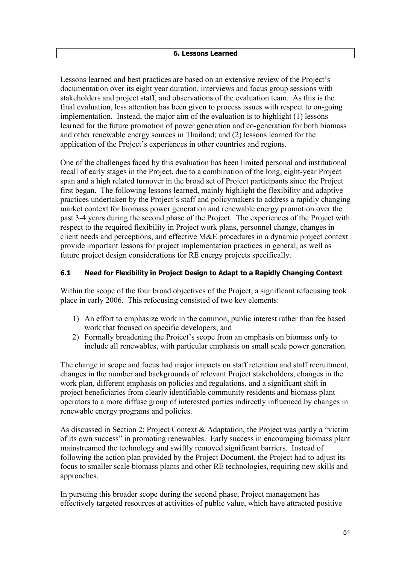Lessons learned and best practices are based on an extensive review of the Project's documentation over its eight year duration, interviews and focus group sessions with stakeholders and project staff, and observations of the evaluation team. As this is the final evaluation, less attention has been given to process issues with respect to on-going implementation. Instead, the major aim of the evaluation is to highlight (1) lessons learned for the future promotion of power generation and co-generation for both biomass and other renewable energy sources in Thailand; and (2) lessons learned for the application of the Project's experiences in other countries and regions.

One of the challenges faced by this evaluation has been limited personal and institutional recall of early stages in the Project, due to a combination of the long, eight-year Project span and a high related turnover in the broad set of Project participants since the Project first began. The following lessons learned, mainly highlight the flexibility and adaptive practices undertaken by the Project's staff and policymakers to address a rapidly changing market context for biomass power generation and renewable energy promotion over the past 3-4 years during the second phase of the Project. The experiences of the Project with respect to the required flexibility in Project work plans, personnel change, changes in client needs and perceptions, and effective M&E procedures in a dynamic project context provide important lessons for project implementation practices in general, as well as future project design considerations for RE energy projects specifically.

## **6.1 Need for Flexibility in Project Design to Adapt to a Rapidly Changing Context**

Within the scope of the four broad objectives of the Project, a significant refocusing took place in early 2006. This refocusing consisted of two key elements:

- 1) An effort to emphasize work in the common, public interest rather than fee based work that focused on specific developers; and
- 2) Formally broadening the Project's scope from an emphasis on biomass only to include all renewables, with particular emphasis on small scale power generation.

The change in scope and focus had major impacts on staff retention and staff recruitment, changes in the number and backgrounds of relevant Project stakeholders, changes in the work plan, different emphasis on policies and regulations, and a significant shift in project beneficiaries from clearly identifiable community residents and biomass plant operators to a more diffuse group of interested parties indirectly influenced by changes in renewable energy programs and policies.

As discussed in Section 2: Project Context & Adaptation, the Project was partly a "victim of its own success" in promoting renewables. Early success in encouraging biomass plant mainstreamed the technology and swiftly removed significant barriers. Instead of following the action plan provided by the Project Document, the Project had to adjust its focus to smaller scale biomass plants and other RE technologies, requiring new skills and approaches.

In pursuing this broader scope during the second phase, Project management has effectively targeted resources at activities of public value, which have attracted positive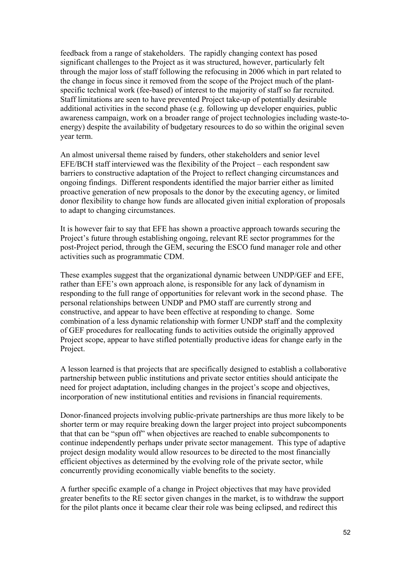feedback from a range of stakeholders. The rapidly changing context has posed significant challenges to the Project as it was structured, however, particularly felt through the major loss of staff following the refocusing in 2006 which in part related to the change in focus since it removed from the scope of the Project much of the plantspecific technical work (fee-based) of interest to the majority of staff so far recruited. Staff limitations are seen to have prevented Project take-up of potentially desirable additional activities in the second phase (e.g. following up developer enquiries, public awareness campaign, work on a broader range of project technologies including waste-toenergy) despite the availability of budgetary resources to do so within the original seven year term.

An almost universal theme raised by funders, other stakeholders and senior level EFE/BCH staff interviewed was the flexibility of the Project – each respondent saw barriers to constructive adaptation of the Project to reflect changing circumstances and ongoing findings. Different respondents identified the major barrier either as limited proactive generation of new proposals to the donor by the executing agency, or limited donor flexibility to change how funds are allocated given initial exploration of proposals to adapt to changing circumstances.

It is however fair to say that EFE has shown a proactive approach towards securing the Project's future through establishing ongoing, relevant RE sector programmes for the post-Project period, through the GEM, securing the ESCO fund manager role and other activities such as programmatic CDM.

These examples suggest that the organizational dynamic between UNDP/GEF and EFE, rather than EFE's own approach alone, is responsible for any lack of dynamism in responding to the full range of opportunities for relevant work in the second phase. The personal relationships between UNDP and PMO staff are currently strong and constructive, and appear to have been effective at responding to change. Some combination of a less dynamic relationship with former UNDP staff and the complexity of GEF procedures for reallocating funds to activities outside the originally approved Project scope, appear to have stifled potentially productive ideas for change early in the Project.

A lesson learned is that projects that are specifically designed to establish a collaborative partnership between public institutions and private sector entities should anticipate the need for project adaptation, including changes in the project's scope and objectives, incorporation of new institutional entities and revisions in financial requirements.

Donor-financed projects involving public-private partnerships are thus more likely to be shorter term or may require breaking down the larger project into project subcomponents that that can be "spun off" when objectives are reached to enable subcomponents to continue independently perhaps under private sector management. This type of adaptive project design modality would allow resources to be directed to the most financially efficient objectives as determined by the evolving role of the private sector, while concurrently providing economically viable benefits to the society.

A further specific example of a change in Project objectives that may have provided greater benefits to the RE sector given changes in the market, is to withdraw the support for the pilot plants once it became clear their role was being eclipsed, and redirect this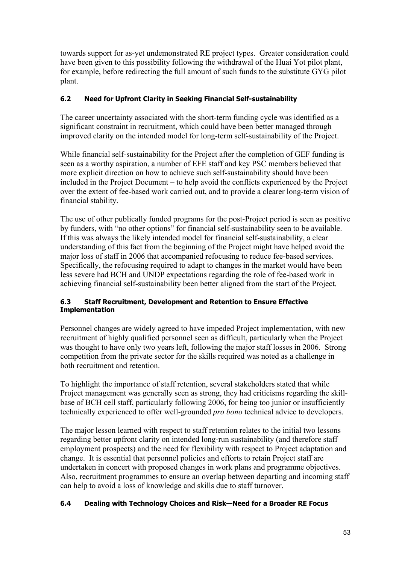towards support for as-yet undemonstrated RE project types. Greater consideration could have been given to this possibility following the withdrawal of the Huai Yot pilot plant, for example, before redirecting the full amount of such funds to the substitute GYG pilot plant.

# **6.2 Need for Upfront Clarity in Seeking Financial Self-sustainability**

The career uncertainty associated with the short-term funding cycle was identified as a significant constraint in recruitment, which could have been better managed through improved clarity on the intended model for long-term self-sustainability of the Project.

While financial self-sustainability for the Project after the completion of GEF funding is seen as a worthy aspiration, a number of EFE staff and key PSC members believed that more explicit direction on how to achieve such self-sustainability should have been included in the Project Document – to help avoid the conflicts experienced by the Project over the extent of fee-based work carried out, and to provide a clearer long-term vision of financial stability.

The use of other publically funded programs for the post-Project period is seen as positive by funders, with "no other options" for financial self-sustainability seen to be available. If this was always the likely intended model for financial self-sustainability, a clear understanding of this fact from the beginning of the Project might have helped avoid the major loss of staff in 2006 that accompanied refocusing to reduce fee-based services. Specifically, the refocusing required to adapt to changes in the market would have been less severe had BCH and UNDP expectations regarding the role of fee-based work in achieving financial self-sustainability been better aligned from the start of the Project.

## **6.3 Staff Recruitment, Development and Retention to Ensure Effective Implementation**

Personnel changes are widely agreed to have impeded Project implementation, with new recruitment of highly qualified personnel seen as difficult, particularly when the Project was thought to have only two years left, following the major staff losses in 2006. Strong competition from the private sector for the skills required was noted as a challenge in both recruitment and retention.

To highlight the importance of staff retention, several stakeholders stated that while Project management was generally seen as strong, they had criticisms regarding the skillbase of BCH cell staff, particularly following 2006, for being too junior or insufficiently technically experienced to offer well-grounded *pro bono* technical advice to developers.

The major lesson learned with respect to staff retention relates to the initial two lessons regarding better upfront clarity on intended long-run sustainability (and therefore staff employment prospects) and the need for flexibility with respect to Project adaptation and change. It is essential that personnel policies and efforts to retain Project staff are undertaken in concert with proposed changes in work plans and programme objectives. Also, recruitment programmes to ensure an overlap between departing and incoming staff can help to avoid a loss of knowledge and skills due to staff turnover.

## **6.4 Dealing with Technology Choices and Risk—Need for a Broader RE Focus**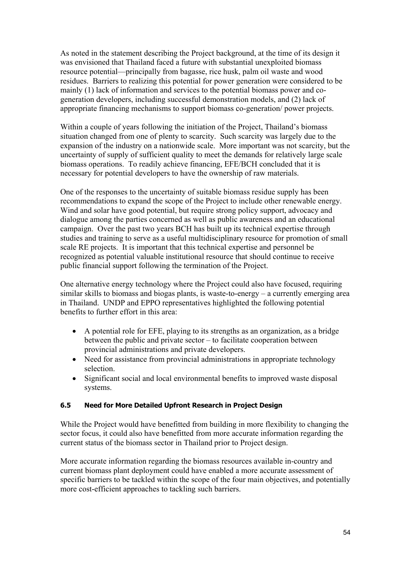As noted in the statement describing the Project background, at the time of its design it was envisioned that Thailand faced a future with substantial unexploited biomass resource potential—principally from bagasse, rice husk, palm oil waste and wood residues. Barriers to realizing this potential for power generation were considered to be mainly (1) lack of information and services to the potential biomass power and cogeneration developers, including successful demonstration models, and (2) lack of appropriate financing mechanisms to support biomass co-generation/ power projects.

Within a couple of years following the initiation of the Project, Thailand's biomass situation changed from one of plenty to scarcity. Such scarcity was largely due to the expansion of the industry on a nationwide scale. More important was not scarcity, but the uncertainty of supply of sufficient quality to meet the demands for relatively large scale biomass operations. To readily achieve financing, EFE/BCH concluded that it is necessary for potential developers to have the ownership of raw materials.

One of the responses to the uncertainty of suitable biomass residue supply has been recommendations to expand the scope of the Project to include other renewable energy. Wind and solar have good potential, but require strong policy support, advocacy and dialogue among the parties concerned as well as public awareness and an educational campaign. Over the past two years BCH has built up its technical expertise through studies and training to serve as a useful multidisciplinary resource for promotion of small scale RE projects. It is important that this technical expertise and personnel be recognized as potential valuable institutional resource that should continue to receive public financial support following the termination of the Project.

One alternative energy technology where the Project could also have focused, requiring similar skills to biomass and biogas plants, is waste-to-energy – a currently emerging area in Thailand. UNDP and EPPO representatives highlighted the following potential benefits to further effort in this area:

- A potential role for EFE, playing to its strengths as an organization, as a bridge between the public and private sector – to facilitate cooperation between provincial administrations and private developers.
- Need for assistance from provincial administrations in appropriate technology selection.
- Significant social and local environmental benefits to improved waste disposal systems.

## **6.5 Need for More Detailed Upfront Research in Project Design**

While the Project would have benefitted from building in more flexibility to changing the sector focus, it could also have benefitted from more accurate information regarding the current status of the biomass sector in Thailand prior to Project design.

More accurate information regarding the biomass resources available in-country and current biomass plant deployment could have enabled a more accurate assessment of specific barriers to be tackled within the scope of the four main objectives, and potentially more cost-efficient approaches to tackling such barriers.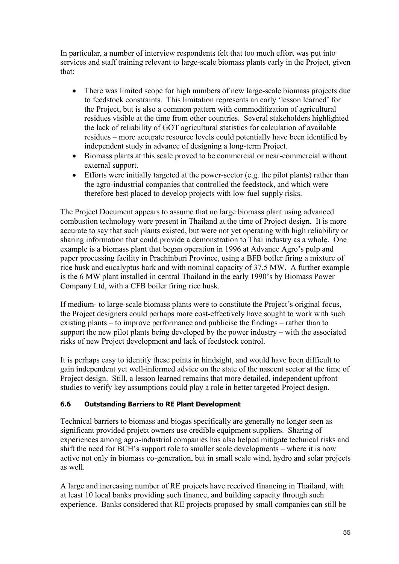In particular, a number of interview respondents felt that too much effort was put into services and staff training relevant to large-scale biomass plants early in the Project, given that:

- There was limited scope for high numbers of new large-scale biomass projects due to feedstock constraints. This limitation represents an early 'lesson learned' for the Project, but is also a common pattern with commoditization of agricultural residues visible at the time from other countries. Several stakeholders highlighted the lack of reliability of GOT agricultural statistics for calculation of available residues – more accurate resource levels could potentially have been identified by independent study in advance of designing a long-term Project.
- Biomass plants at this scale proved to be commercial or near-commercial without external support.
- Efforts were initially targeted at the power-sector (e.g. the pilot plants) rather than the agro-industrial companies that controlled the feedstock, and which were therefore best placed to develop projects with low fuel supply risks.

The Project Document appears to assume that no large biomass plant using advanced combustion technology were present in Thailand at the time of Project design. It is more accurate to say that such plants existed, but were not yet operating with high reliability or sharing information that could provide a demonstration to Thai industry as a whole. One example is a biomass plant that began operation in 1996 at Advance Agro's pulp and paper processing facility in Prachinburi Province, using a BFB boiler firing a mixture of rice husk and eucalyptus bark and with nominal capacity of 37.5 MW. A further example is the 6 MW plant installed in central Thailand in the early 1990's by Biomass Power Company Ltd, with a CFB boiler firing rice husk.

If medium- to large-scale biomass plants were to constitute the Project's original focus, the Project designers could perhaps more cost-effectively have sought to work with such existing plants – to improve performance and publicise the findings – rather than to support the new pilot plants being developed by the power industry – with the associated risks of new Project development and lack of feedstock control.

It is perhaps easy to identify these points in hindsight, and would have been difficult to gain independent yet well-informed advice on the state of the nascent sector at the time of Project design. Still, a lesson learned remains that more detailed, independent upfront studies to verify key assumptions could play a role in better targeted Project design.

## **6.6 Outstanding Barriers to RE Plant Development**

Technical barriers to biomass and biogas specifically are generally no longer seen as significant provided project owners use credible equipment suppliers. Sharing of experiences among agro-industrial companies has also helped mitigate technical risks and shift the need for BCH's support role to smaller scale developments – where it is now active not only in biomass co-generation, but in small scale wind, hydro and solar projects as well.

A large and increasing number of RE projects have received financing in Thailand, with at least 10 local banks providing such finance, and building capacity through such experience. Banks considered that RE projects proposed by small companies can still be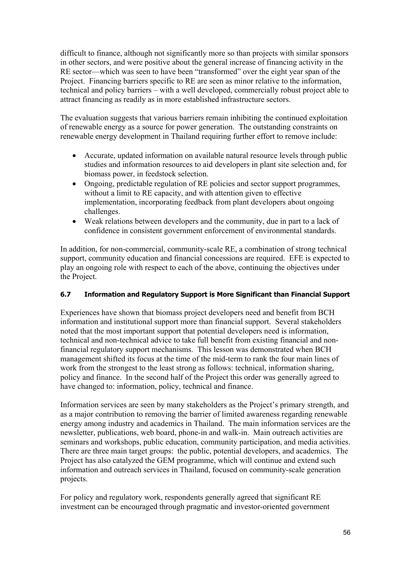difficult to finance, although not significantly more so than projects with similar sponsors in other sectors, and were positive about the general increase of financing activity in the RE sector—which was seen to have been "transformed" over the eight year span of the Project. Financing barriers specific to RE are seen as minor relative to the information, technical and policy barriers – with a well developed, commercially robust project able to attract financing as readily as in more established infrastructure sectors.

The evaluation suggests that various barriers remain inhibiting the continued exploitation of renewable energy as a source for power generation. The outstanding constraints on renewable energy development in Thailand requiring further effort to remove include:

- Accurate, updated information on available natural resource levels through public studies and information resources to aid developers in plant site selection and, for biomass power, in feedstock selection.
- Ongoing, predictable regulation of RE policies and sector support programmes, without a limit to RE capacity, and with attention given to effective implementation, incorporating feedback from plant developers about ongoing challenges.
- Weak relations between developers and the community, due in part to a lack of confidence in consistent government enforcement of environmental standards.

In addition, for non-commercial, community-scale RE, a combination of strong technical support, community education and financial concessions are required. EFE is expected to play an ongoing role with respect to each of the above, continuing the objectives under the Project.

## **6.7 Information and Regulatory Support is More Significant than Financial Support**

Experiences have shown that biomass project developers need and benefit from BCH information and institutional support more than financial support. Several stakeholders noted that the most important support that potential developers need is information, technical and non-technical advice to take full benefit from existing financial and nonfinancial regulatory support mechanisms. This lesson was demonstrated when BCH management shifted its focus at the time of the mid-term to rank the four main lines of work from the strongest to the least strong as follows: technical, information sharing, policy and finance. In the second half of the Project this order was generally agreed to have changed to: information, policy, technical and finance.

Information services are seen by many stakeholders as the Project's primary strength, and as a major contribution to removing the barrier of limited awareness regarding renewable energy among industry and academics in Thailand. The main information services are the newsletter, publications, web board, phone-in and walk-in. Main outreach activities are seminars and workshops, public education, community participation, and media activities. There are three main target groups: the public, potential developers, and academics. The Project has also catalyzed the GEM programme, which will continue and extend such information and outreach services in Thailand, focused on community-scale generation projects.

For policy and regulatory work, respondents generally agreed that significant RE investment can be encouraged through pragmatic and investor-oriented government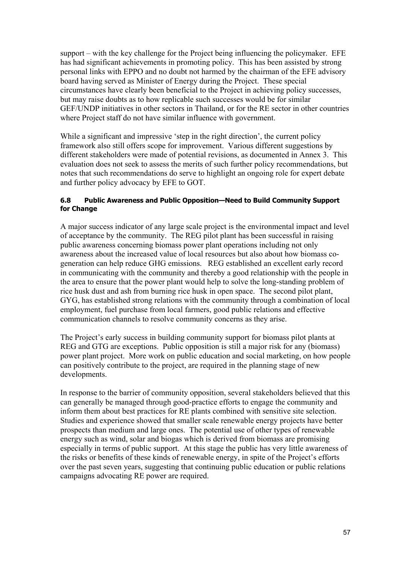support – with the key challenge for the Project being influencing the policymaker. EFE has had significant achievements in promoting policy. This has been assisted by strong personal links with EPPO and no doubt not harmed by the chairman of the EFE advisory board having served as Minister of Energy during the Project. These special circumstances have clearly been beneficial to the Project in achieving policy successes, but may raise doubts as to how replicable such successes would be for similar GEF/UNDP initiatives in other sectors in Thailand, or for the RE sector in other countries where Project staff do not have similar influence with government.

While a significant and impressive 'step in the right direction', the current policy framework also still offers scope for improvement. Various different suggestions by different stakeholders were made of potential revisions, as documented in Annex 3. This evaluation does not seek to assess the merits of such further policy recommendations, but notes that such recommendations do serve to highlight an ongoing role for expert debate and further policy advocacy by EFE to GOT.

## **6.8 Public Awareness and Public Opposition—Need to Build Community Support for Change**

A major success indicator of any large scale project is the environmental impact and level of acceptance by the community. The REG pilot plant has been successful in raising public awareness concerning biomass power plant operations including not only awareness about the increased value of local resources but also about how biomass cogeneration can help reduce GHG emissions. REG established an excellent early record in communicating with the community and thereby a good relationship with the people in the area to ensure that the power plant would help to solve the long-standing problem of rice husk dust and ash from burning rice husk in open space. The second pilot plant, GYG, has established strong relations with the community through a combination of local employment, fuel purchase from local farmers, good public relations and effective communication channels to resolve community concerns as they arise.

The Project's early success in building community support for biomass pilot plants at REG and GTG are exceptions. Public opposition is still a major risk for any (biomass) power plant project. More work on public education and social marketing, on how people can positively contribute to the project, are required in the planning stage of new developments.

In response to the barrier of community opposition, several stakeholders believed that this can generally be managed through good-practice efforts to engage the community and inform them about best practices for RE plants combined with sensitive site selection. Studies and experience showed that smaller scale renewable energy projects have better prospects than medium and large ones. The potential use of other types of renewable energy such as wind, solar and biogas which is derived from biomass are promising especially in terms of public support. At this stage the public has very little awareness of the risks or benefits of these kinds of renewable energy, in spite of the Project's efforts over the past seven years, suggesting that continuing public education or public relations campaigns advocating RE power are required.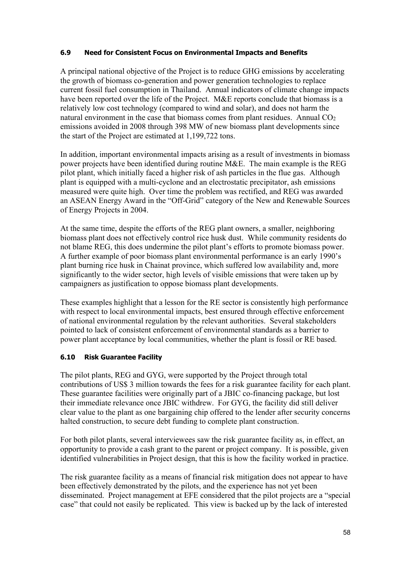## **6.9 Need for Consistent Focus on Environmental Impacts and Benefits**

A principal national objective of the Project is to reduce GHG emissions by accelerating the growth of biomass co-generation and power generation technologies to replace current fossil fuel consumption in Thailand. Annual indicators of climate change impacts have been reported over the life of the Project. M&E reports conclude that biomass is a relatively low cost technology (compared to wind and solar), and does not harm the natural environment in the case that biomass comes from plant residues. Annual  $CO<sub>2</sub>$ emissions avoided in 2008 through 398 MW of new biomass plant developments since the start of the Project are estimated at 1,199,722 tons.

In addition, important environmental impacts arising as a result of investments in biomass power projects have been identified during routine M&E. The main example is the REG pilot plant, which initially faced a higher risk of ash particles in the flue gas. Although plant is equipped with a multi-cyclone and an electrostatic precipitator, ash emissions measured were quite high. Over time the problem was rectified, and REG was awarded an ASEAN Energy Award in the "Off-Grid" category of the New and Renewable Sources of Energy Projects in 2004.

At the same time, despite the efforts of the REG plant owners, a smaller, neighboring biomass plant does not effectively control rice husk dust. While community residents do not blame REG, this does undermine the pilot plant's efforts to promote biomass power. A further example of poor biomass plant environmental performance is an early 1990's plant burning rice husk in Chainat province, which suffered low availability and, more significantly to the wider sector, high levels of visible emissions that were taken up by campaigners as justification to oppose biomass plant developments.

These examples highlight that a lesson for the RE sector is consistently high performance with respect to local environmental impacts, best ensured through effective enforcement of national environmental regulation by the relevant authorities. Several stakeholders pointed to lack of consistent enforcement of environmental standards as a barrier to power plant acceptance by local communities, whether the plant is fossil or RE based.

## **6.10 Risk Guarantee Facility**

The pilot plants, REG and GYG, were supported by the Project through total contributions of US\$ 3 million towards the fees for a risk guarantee facility for each plant. These guarantee facilities were originally part of a JBIC co-financing package, but lost their immediate relevance once JBIC withdrew. For GYG, the facility did still deliver clear value to the plant as one bargaining chip offered to the lender after security concerns halted construction, to secure debt funding to complete plant construction.

For both pilot plants, several interviewees saw the risk guarantee facility as, in effect, an opportunity to provide a cash grant to the parent or project company. It is possible, given identified vulnerabilities in Project design, that this is how the facility worked in practice.

The risk guarantee facility as a means of financial risk mitigation does not appear to have been effectively demonstrated by the pilots, and the experience has not yet been disseminated. Project management at EFE considered that the pilot projects are a "special case" that could not easily be replicated. This view is backed up by the lack of interested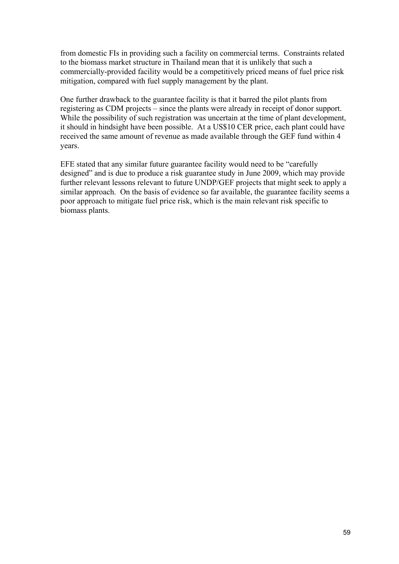from domestic FIs in providing such a facility on commercial terms. Constraints related to the biomass market structure in Thailand mean that it is unlikely that such a commercially-provided facility would be a competitively priced means of fuel price risk mitigation, compared with fuel supply management by the plant.

One further drawback to the guarantee facility is that it barred the pilot plants from registering as CDM projects – since the plants were already in receipt of donor support. While the possibility of such registration was uncertain at the time of plant development, it should in hindsight have been possible. At a US\$10 CER price, each plant could have received the same amount of revenue as made available through the GEF fund within 4 years.

EFE stated that any similar future guarantee facility would need to be "carefully designed" and is due to produce a risk guarantee study in June 2009, which may provide further relevant lessons relevant to future UNDP/GEF projects that might seek to apply a similar approach. On the basis of evidence so far available, the guarantee facility seems a poor approach to mitigate fuel price risk, which is the main relevant risk specific to biomass plants.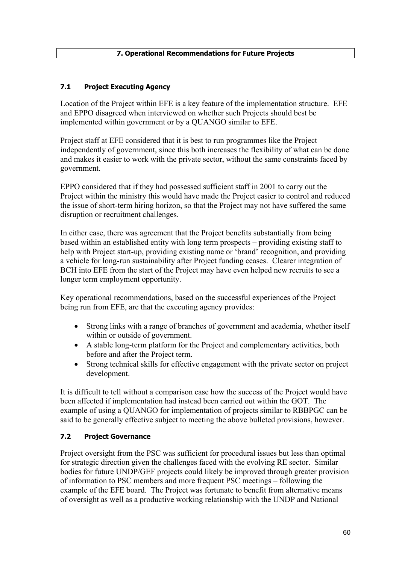# **7.1 Project Executing Agency**

Location of the Project within EFE is a key feature of the implementation structure. EFE and EPPO disagreed when interviewed on whether such Projects should best be implemented within government or by a QUANGO similar to EFE.

Project staff at EFE considered that it is best to run programmes like the Project independently of government, since this both increases the flexibility of what can be done and makes it easier to work with the private sector, without the same constraints faced by government.

EPPO considered that if they had possessed sufficient staff in 2001 to carry out the Project within the ministry this would have made the Project easier to control and reduced the issue of short-term hiring horizon, so that the Project may not have suffered the same disruption or recruitment challenges.

In either case, there was agreement that the Project benefits substantially from being based within an established entity with long term prospects – providing existing staff to help with Project start-up, providing existing name or 'brand' recognition, and providing a vehicle for long-run sustainability after Project funding ceases. Clearer integration of BCH into EFE from the start of the Project may have even helped new recruits to see a longer term employment opportunity.

Key operational recommendations, based on the successful experiences of the Project being run from EFE, are that the executing agency provides:

- Strong links with a range of branches of government and academia, whether itself within or outside of government.
- A stable long-term platform for the Project and complementary activities, both before and after the Project term.
- Strong technical skills for effective engagement with the private sector on project development.

It is difficult to tell without a comparison case how the success of the Project would have been affected if implementation had instead been carried out within the GOT. The example of using a QUANGO for implementation of projects similar to RBBPGC can be said to be generally effective subject to meeting the above bulleted provisions, however.

## **7.2 Project Governance**

Project oversight from the PSC was sufficient for procedural issues but less than optimal for strategic direction given the challenges faced with the evolving RE sector. Similar bodies for future UNDP/GEF projects could likely be improved through greater provision of information to PSC members and more frequent PSC meetings – following the example of the EFE board. The Project was fortunate to benefit from alternative means of oversight as well as a productive working relationship with the UNDP and National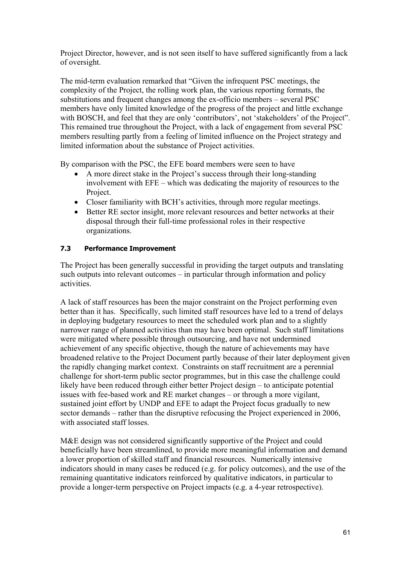Project Director, however, and is not seen itself to have suffered significantly from a lack of oversight.

The mid-term evaluation remarked that "Given the infrequent PSC meetings, the complexity of the Project, the rolling work plan, the various reporting formats, the substitutions and frequent changes among the ex-officio members – several PSC members have only limited knowledge of the progress of the project and little exchange with BOSCH, and feel that they are only 'contributors', not 'stakeholders' of the Project''. This remained true throughout the Project, with a lack of engagement from several PSC members resulting partly from a feeling of limited influence on the Project strategy and limited information about the substance of Project activities.

By comparison with the PSC, the EFE board members were seen to have

- A more direct stake in the Project's success through their long-standing involvement with EFE – which was dedicating the majority of resources to the Project.
- Closer familiarity with BCH's activities, through more regular meetings.
- Better RE sector insight, more relevant resources and better networks at their disposal through their full-time professional roles in their respective organizations.

## **7.3 Performance Improvement**

The Project has been generally successful in providing the target outputs and translating such outputs into relevant outcomes – in particular through information and policy activities.

A lack of staff resources has been the major constraint on the Project performing even better than it has. Specifically, such limited staff resources have led to a trend of delays in deploying budgetary resources to meet the scheduled work plan and to a slightly narrower range of planned activities than may have been optimal. Such staff limitations were mitigated where possible through outsourcing, and have not undermined achievement of any specific objective, though the nature of achievements may have broadened relative to the Project Document partly because of their later deployment given the rapidly changing market context. Constraints on staff recruitment are a perennial challenge for short-term public sector programmes, but in this case the challenge could likely have been reduced through either better Project design – to anticipate potential issues with fee-based work and RE market changes – or through a more vigilant, sustained joint effort by UNDP and EFE to adapt the Project focus gradually to new sector demands – rather than the disruptive refocusing the Project experienced in 2006, with associated staff losses.

M&E design was not considered significantly supportive of the Project and could beneficially have been streamlined, to provide more meaningful information and demand a lower proportion of skilled staff and financial resources. Numerically intensive indicators should in many cases be reduced (e.g. for policy outcomes), and the use of the remaining quantitative indicators reinforced by qualitative indicators, in particular to provide a longer-term perspective on Project impacts (e.g. a 4-year retrospective).